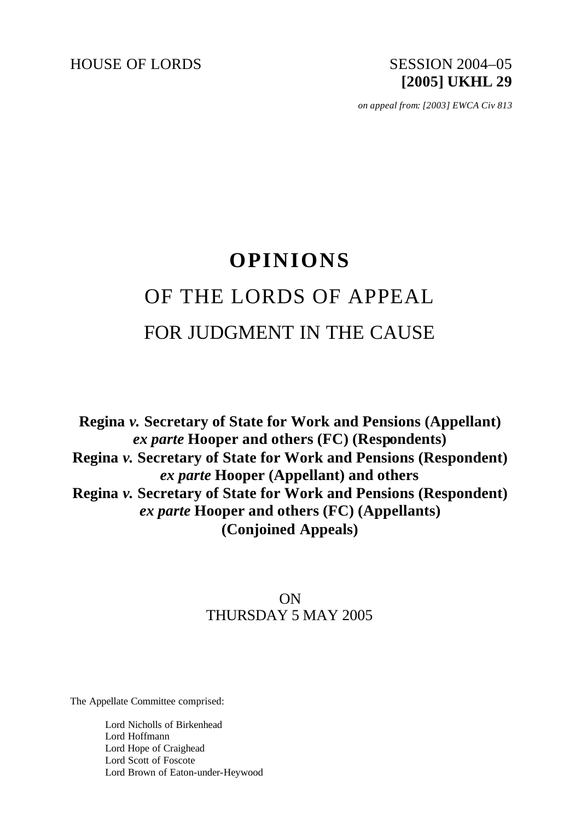HOUSE OF LORDS SESSION 2004–05

# **[2005] UKHL 29**

*on appeal from: [2003] EWCA Civ 813*

## **OPINIONS** OF THE LORDS OF APPEAL FOR JUDGMENT IN THE CAUSE

**Regina** *v.* **Secretary of State for Work and Pensions (Appellant)**  *ex parte* **Hooper and others (FC) (Respondents) Regina** *v.* **Secretary of State for Work and Pensions (Respondent)**  *ex parte* **Hooper (Appellant) and others Regina** *v.* **Secretary of State for Work and Pensions (Respondent)**  *ex parte* **Hooper and others (FC) (Appellants) (Conjoined Appeals)**

### ON THURSDAY 5 MAY 2005

The Appellate Committee comprised:

Lord Nicholls of Birkenhead Lord Hoffmann Lord Hope of Craighead Lord Scott of Foscote Lord Brown of Eaton-under-Heywood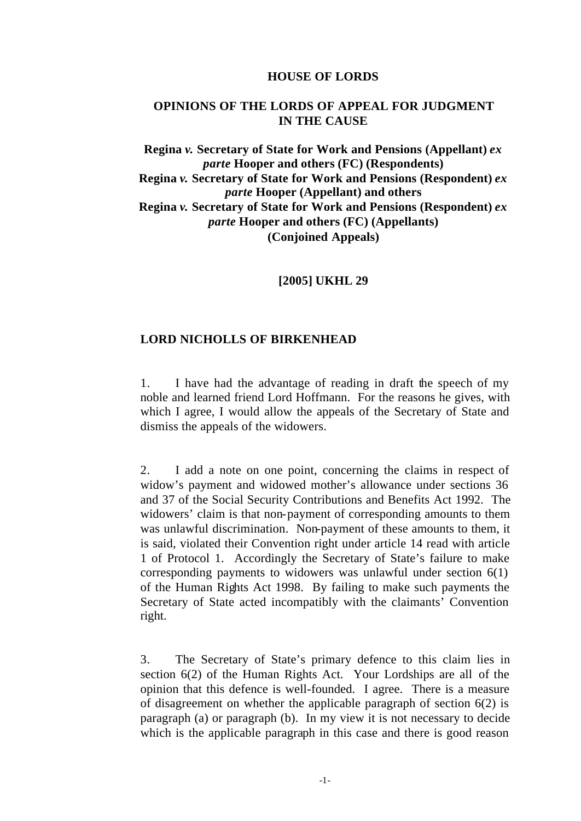#### **HOUSE OF LORDS**

#### **OPINIONS OF THE LORDS OF APPEAL FOR JUDGMENT IN THE CAUSE**

#### **Regina** *v.* **Secretary of State for Work and Pensions (Appellant)** *ex parte* **Hooper and others (FC) (Respondents) Regina** *v.* **Secretary of State for Work and Pensions (Respondent)** *ex parte* **Hooper (Appellant) and others Regina** *v.* **Secretary of State for Work and Pensions (Respondent)** *ex parte* **Hooper and others (FC) (Appellants) (Conjoined Appeals)**

#### **[2005] UKHL 29**

#### **LORD NICHOLLS OF BIRKENHEAD**

1. I have had the advantage of reading in draft the speech of my noble and learned friend Lord Hoffmann. For the reasons he gives, with which I agree, I would allow the appeals of the Secretary of State and dismiss the appeals of the widowers.

2. I add a note on one point, concerning the claims in respect of widow's payment and widowed mother's allowance under sections 36 and 37 of the Social Security Contributions and Benefits Act 1992. The widowers' claim is that non-payment of corresponding amounts to them was unlawful discrimination. Non-payment of these amounts to them, it is said, violated their Convention right under article 14 read with article 1 of Protocol 1. Accordingly the Secretary of State's failure to make corresponding payments to widowers was unlawful under section 6(1) of the Human Rights Act 1998. By failing to make such payments the Secretary of State acted incompatibly with the claimants' Convention right.

3. The Secretary of State's primary defence to this claim lies in section 6(2) of the Human Rights Act. Your Lordships are all of the opinion that this defence is well-founded. I agree. There is a measure of disagreement on whether the applicable paragraph of section 6(2) is paragraph (a) or paragraph (b). In my view it is not necessary to decide which is the applicable paragraph in this case and there is good reason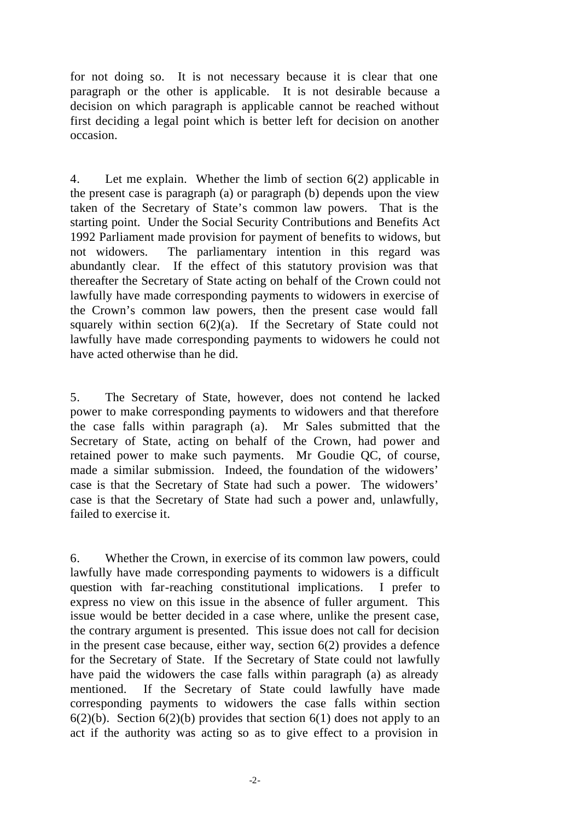for not doing so. It is not necessary because it is clear that one paragraph or the other is applicable. It is not desirable because a decision on which paragraph is applicable cannot be reached without first deciding a legal point which is better left for decision on another occasion.

4. Let me explain. Whether the limb of section 6(2) applicable in the present case is paragraph (a) or paragraph (b) depends upon the view taken of the Secretary of State's common law powers. That is the starting point. Under the Social Security Contributions and Benefits Act 1992 Parliament made provision for payment of benefits to widows, but not widowers. The parliamentary intention in this regard was abundantly clear. If the effect of this statutory provision was that thereafter the Secretary of State acting on behalf of the Crown could not lawfully have made corresponding payments to widowers in exercise of the Crown's common law powers, then the present case would fall squarely within section  $6(2)(a)$ . If the Secretary of State could not lawfully have made corresponding payments to widowers he could not have acted otherwise than he did.

5. The Secretary of State, however, does not contend he lacked power to make corresponding payments to widowers and that therefore the case falls within paragraph (a). Mr Sales submitted that the Secretary of State, acting on behalf of the Crown, had power and retained power to make such payments. Mr Goudie QC, of course, made a similar submission. Indeed, the foundation of the widowers' case is that the Secretary of State had such a power. The widowers' case is that the Secretary of State had such a power and, unlawfully, failed to exercise it.

6. Whether the Crown, in exercise of its common law powers, could lawfully have made corresponding payments to widowers is a difficult question with far-reaching constitutional implications. I prefer to express no view on this issue in the absence of fuller argument. This issue would be better decided in a case where, unlike the present case, the contrary argument is presented. This issue does not call for decision in the present case because, either way, section 6(2) provides a defence for the Secretary of State. If the Secretary of State could not lawfully have paid the widowers the case falls within paragraph (a) as already mentioned. If the Secretary of State could lawfully have made corresponding payments to widowers the case falls within section  $6(2)(b)$ . Section  $6(2)(b)$  provides that section  $6(1)$  does not apply to an act if the authority was acting so as to give effect to a provision in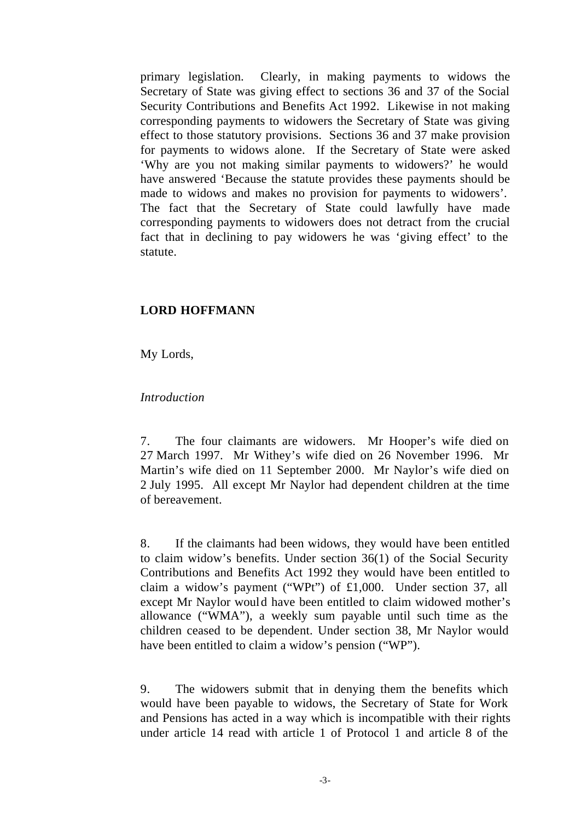primary legislation. Clearly, in making payments to widows the Secretary of State was giving effect to sections 36 and 37 of the Social Security Contributions and Benefits Act 1992. Likewise in not making corresponding payments to widowers the Secretary of State was giving effect to those statutory provisions. Sections 36 and 37 make provision for payments to widows alone. If the Secretary of State were asked 'Why are you not making similar payments to widowers?' he would have answered 'Because the statute provides these payments should be made to widows and makes no provision for payments to widowers'. The fact that the Secretary of State could lawfully have made corresponding payments to widowers does not detract from the crucial fact that in declining to pay widowers he was 'giving effect' to the statute.

#### **LORD HOFFMANN**

My Lords,

#### *Introduction*

7. The four claimants are widowers. Mr Hooper's wife died on 27 March 1997. Mr Withey's wife died on 26 November 1996. Mr Martin's wife died on 11 September 2000. Mr Naylor's wife died on 2 July 1995. All except Mr Naylor had dependent children at the time of bereavement.

8. If the claimants had been widows, they would have been entitled to claim widow's benefits. Under section 36(1) of the Social Security Contributions and Benefits Act 1992 they would have been entitled to claim a widow's payment ("WPt") of £1,000. Under section 37, all except Mr Naylor would have been entitled to claim widowed mother's allowance ("WMA"), a weekly sum payable until such time as the children ceased to be dependent. Under section 38, Mr Naylor would have been entitled to claim a widow's pension ("WP").

9. The widowers submit that in denying them the benefits which would have been payable to widows, the Secretary of State for Work and Pensions has acted in a way which is incompatible with their rights under article 14 read with article 1 of Protocol 1 and article 8 of the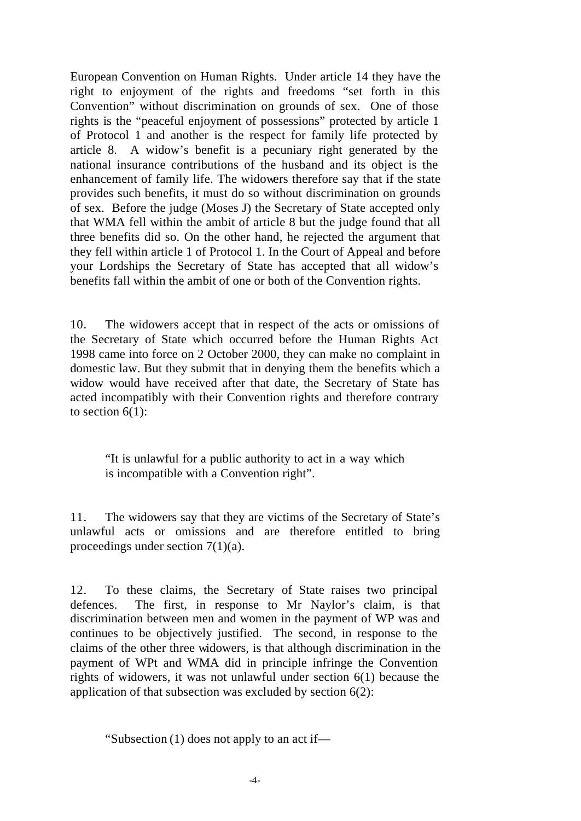European Convention on Human Rights. Under article 14 they have the right to enjoyment of the rights and freedoms "set forth in this Convention" without discrimination on grounds of sex. One of those rights is the "peaceful enjoyment of possessions" protected by article 1 of Protocol 1 and another is the respect for family life protected by article 8. A widow's benefit is a pecuniary right generated by the national insurance contributions of the husband and its object is the enhancement of family life. The widowers therefore say that if the state provides such benefits, it must do so without discrimination on grounds of sex. Before the judge (Moses J) the Secretary of State accepted only that WMA fell within the ambit of article 8 but the judge found that all three benefits did so. On the other hand, he rejected the argument that they fell within article 1 of Protocol 1. In the Court of Appeal and before your Lordships the Secretary of State has accepted that all widow's benefits fall within the ambit of one or both of the Convention rights.

10. The widowers accept that in respect of the acts or omissions of the Secretary of State which occurred before the Human Rights Act 1998 came into force on 2 October 2000, they can make no complaint in domestic law. But they submit that in denying them the benefits which a widow would have received after that date, the Secretary of State has acted incompatibly with their Convention rights and therefore contrary to section  $6(1)$ :

"It is unlawful for a public authority to act in a way which is incompatible with a Convention right".

11. The widowers say that they are victims of the Secretary of State's unlawful acts or omissions and are therefore entitled to bring proceedings under section 7(1)(a).

12. To these claims, the Secretary of State raises two principal defences. The first, in response to Mr Naylor's claim, is that discrimination between men and women in the payment of WP was and continues to be objectively justified. The second, in response to the claims of the other three widowers, is that although discrimination in the payment of WPt and WMA did in principle infringe the Convention rights of widowers, it was not unlawful under section 6(1) because the application of that subsection was excluded by section 6(2):

"Subsection (1) does not apply to an act if—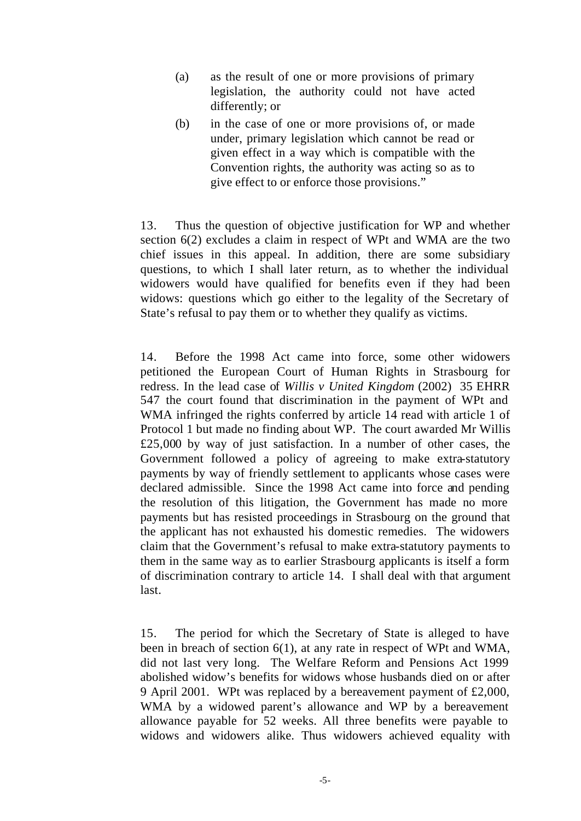- (a) as the result of one or more provisions of primary legislation, the authority could not have acted differently; or
- (b) in the case of one or more provisions of, or made under, primary legislation which cannot be read or given effect in a way which is compatible with the Convention rights, the authority was acting so as to give effect to or enforce those provisions."

13. Thus the question of objective justification for WP and whether section 6(2) excludes a claim in respect of WPt and WMA are the two chief issues in this appeal. In addition, there are some subsidiary questions, to which I shall later return, as to whether the individual widowers would have qualified for benefits even if they had been widows: questions which go either to the legality of the Secretary of State's refusal to pay them or to whether they qualify as victims.

14. Before the 1998 Act came into force, some other widowers petitioned the European Court of Human Rights in Strasbourg for redress. In the lead case of *Willis v United Kingdom* (2002) 35 EHRR 547 the court found that discrimination in the payment of WPt and WMA infringed the rights conferred by article 14 read with article 1 of Protocol 1 but made no finding about WP. The court awarded Mr Willis £25,000 by way of just satisfaction. In a number of other cases, the Government followed a policy of agreeing to make extra-statutory payments by way of friendly settlement to applicants whose cases were declared admissible. Since the 1998 Act came into force and pending the resolution of this litigation, the Government has made no more payments but has resisted proceedings in Strasbourg on the ground that the applicant has not exhausted his domestic remedies. The widowers claim that the Government's refusal to make extra-statutory payments to them in the same way as to earlier Strasbourg applicants is itself a form of discrimination contrary to article 14. I shall deal with that argument last.

15. The period for which the Secretary of State is alleged to have been in breach of section 6(1), at any rate in respect of WPt and WMA, did not last very long. The Welfare Reform and Pensions Act 1999 abolished widow's benefits for widows whose husbands died on or after 9 April 2001. WPt was replaced by a bereavement payment of £2,000, WMA by a widowed parent's allowance and WP by a bereavement allowance payable for 52 weeks. All three benefits were payable to widows and widowers alike. Thus widowers achieved equality with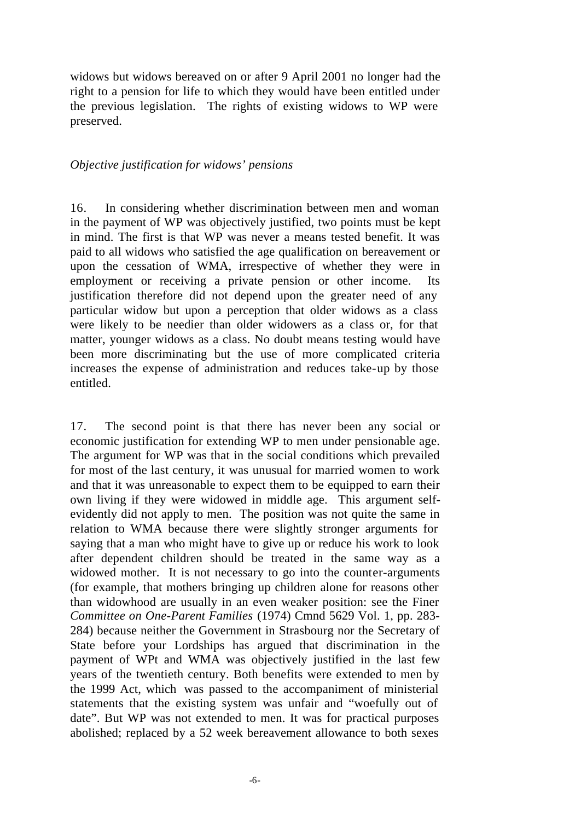widows but widows bereaved on or after 9 April 2001 no longer had the right to a pension for life to which they would have been entitled under the previous legislation. The rights of existing widows to WP were preserved.

#### *Objective justification for widows' pensions*

16. In considering whether discrimination between men and woman in the payment of WP was objectively justified, two points must be kept in mind. The first is that WP was never a means tested benefit. It was paid to all widows who satisfied the age qualification on bereavement or upon the cessation of WMA, irrespective of whether they were in employment or receiving a private pension or other income. Its justification therefore did not depend upon the greater need of any particular widow but upon a perception that older widows as a class were likely to be needier than older widowers as a class or, for that matter, younger widows as a class. No doubt means testing would have been more discriminating but the use of more complicated criteria increases the expense of administration and reduces take-up by those entitled.

17. The second point is that there has never been any social or economic justification for extending WP to men under pensionable age. The argument for WP was that in the social conditions which prevailed for most of the last century, it was unusual for married women to work and that it was unreasonable to expect them to be equipped to earn their own living if they were widowed in middle age. This argument selfevidently did not apply to men. The position was not quite the same in relation to WMA because there were slightly stronger arguments for saying that a man who might have to give up or reduce his work to look after dependent children should be treated in the same way as a widowed mother. It is not necessary to go into the counter-arguments (for example, that mothers bringing up children alone for reasons other than widowhood are usually in an even weaker position: see the Finer *Committee on One-Parent Families* (1974) Cmnd 5629 Vol. 1, pp. 283- 284) because neither the Government in Strasbourg nor the Secretary of State before your Lordships has argued that discrimination in the payment of WPt and WMA was objectively justified in the last few years of the twentieth century. Both benefits were extended to men by the 1999 Act, which was passed to the accompaniment of ministerial statements that the existing system was unfair and "woefully out of date". But WP was not extended to men. It was for practical purposes abolished; replaced by a 52 week bereavement allowance to both sexes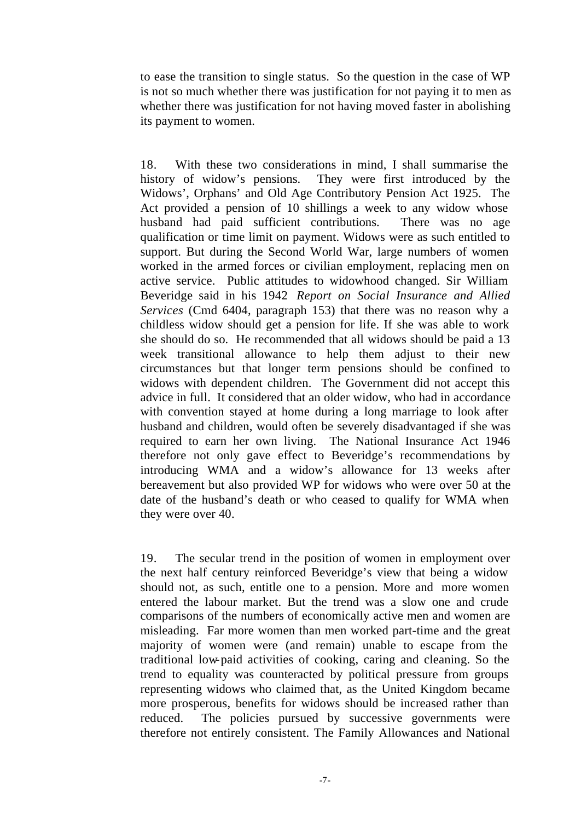to ease the transition to single status. So the question in the case of WP is not so much whether there was justification for not paying it to men as whether there was justification for not having moved faster in abolishing its payment to women.

18. With these two considerations in mind, I shall summarise the history of widow's pensions. They were first introduced by the Widows', Orphans' and Old Age Contributory Pension Act 1925. The Act provided a pension of 10 shillings a week to any widow whose husband had paid sufficient contributions. There was no age qualification or time limit on payment. Widows were as such entitled to support. But during the Second World War, large numbers of women worked in the armed forces or civilian employment, replacing men on active service. Public attitudes to widowhood changed. Sir William Beveridge said in his 1942 *Report on Social Insurance and Allied Services* (Cmd 6404, paragraph 153) that there was no reason why a childless widow should get a pension for life. If she was able to work she should do so. He recommended that all widows should be paid a 13 week transitional allowance to help them adjust to their new circumstances but that longer term pensions should be confined to widows with dependent children. The Government did not accept this advice in full. It considered that an older widow, who had in accordance with convention stayed at home during a long marriage to look after husband and children, would often be severely disadvantaged if she was required to earn her own living. The National Insurance Act 1946 therefore not only gave effect to Beveridge's recommendations by introducing WMA and a widow's allowance for 13 weeks after bereavement but also provided WP for widows who were over 50 at the date of the husband's death or who ceased to qualify for WMA when they were over 40.

19. The secular trend in the position of women in employment over the next half century reinforced Beveridge's view that being a widow should not, as such, entitle one to a pension. More and more women entered the labour market. But the trend was a slow one and crude comparisons of the numbers of economically active men and women are misleading. Far more women than men worked part-time and the great majority of women were (and remain) unable to escape from the traditional low-paid activities of cooking, caring and cleaning. So the trend to equality was counteracted by political pressure from groups representing widows who claimed that, as the United Kingdom became more prosperous, benefits for widows should be increased rather than reduced. The policies pursued by successive governments were therefore not entirely consistent. The Family Allowances and National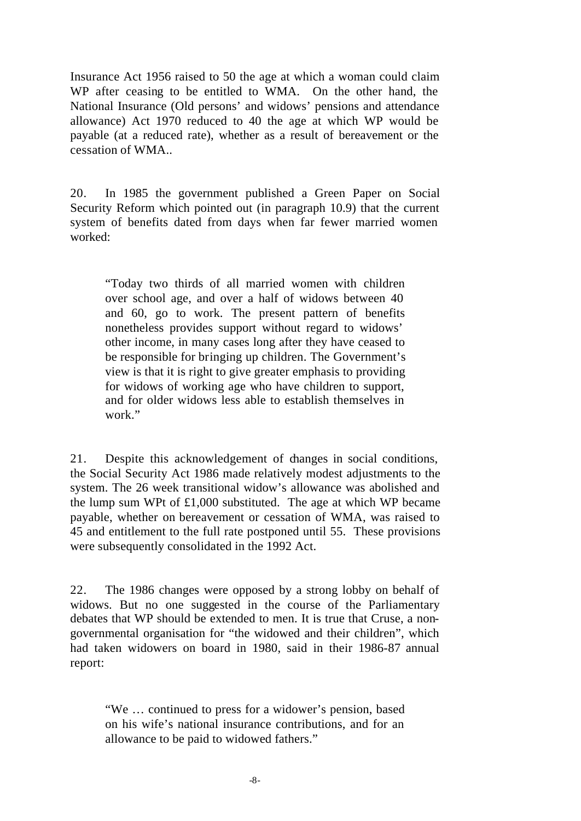Insurance Act 1956 raised to 50 the age at which a woman could claim WP after ceasing to be entitled to WMA. On the other hand, the National Insurance (Old persons' and widows' pensions and attendance allowance) Act 1970 reduced to 40 the age at which WP would be payable (at a reduced rate), whether as a result of bereavement or the cessation of WMA..

20. In 1985 the government published a Green Paper on Social Security Reform which pointed out (in paragraph 10.9) that the current system of benefits dated from days when far fewer married women worked:

"Today two thirds of all married women with children over school age, and over a half of widows between 40 and 60, go to work. The present pattern of benefits nonetheless provides support without regard to widows' other income, in many cases long after they have ceased to be responsible for bringing up children. The Government's view is that it is right to give greater emphasis to providing for widows of working age who have children to support, and for older widows less able to establish themselves in work."

21. Despite this acknowledgement of changes in social conditions, the Social Security Act 1986 made relatively modest adjustments to the system. The 26 week transitional widow's allowance was abolished and the lump sum WPt of  $£1,000$  substituted. The age at which WP became payable, whether on bereavement or cessation of WMA, was raised to 45 and entitlement to the full rate postponed until 55. These provisions were subsequently consolidated in the 1992 Act.

22. The 1986 changes were opposed by a strong lobby on behalf of widows. But no one suggested in the course of the Parliamentary debates that WP should be extended to men. It is true that Cruse, a nongovernmental organisation for "the widowed and their children", which had taken widowers on board in 1980, said in their 1986-87 annual report:

"We … continued to press for a widower's pension, based on his wife's national insurance contributions, and for an allowance to be paid to widowed fathers."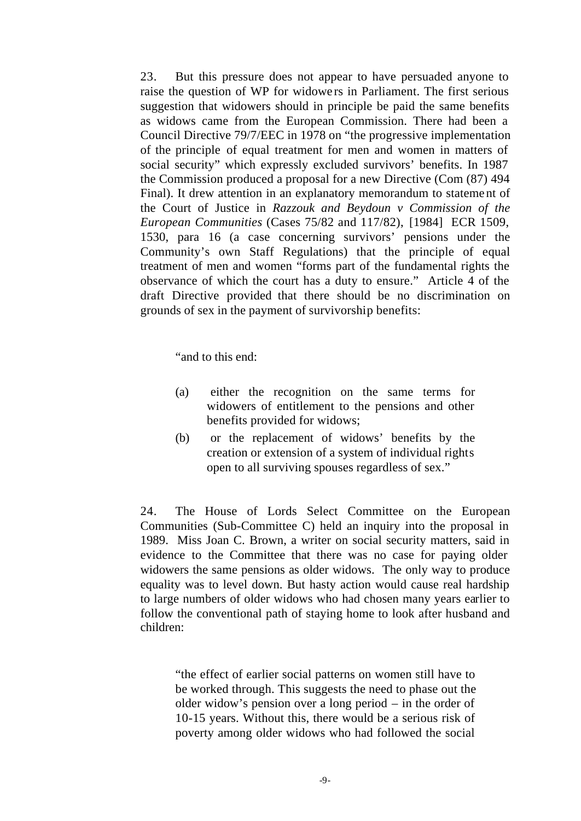23. But this pressure does not appear to have persuaded anyone to raise the question of WP for widowe rs in Parliament. The first serious suggestion that widowers should in principle be paid the same benefits as widows came from the European Commission. There had been a Council Directive 79/7/EEC in 1978 on "the progressive implementation of the principle of equal treatment for men and women in matters of social security" which expressly excluded survivors' benefits. In 1987 the Commission produced a proposal for a new Directive (Com (87) 494 Final). It drew attention in an explanatory memorandum to statement of the Court of Justice in *Razzouk and Beydoun v Commission of the European Communities* (Cases 75/82 and 117/82), [1984] ECR 1509, 1530, para 16 (a case concerning survivors' pensions under the Community's own Staff Regulations) that the principle of equal treatment of men and women "forms part of the fundamental rights the observance of which the court has a duty to ensure." Article 4 of the draft Directive provided that there should be no discrimination on grounds of sex in the payment of survivorship benefits:

"and to this end:

- (a) either the recognition on the same terms for widowers of entitlement to the pensions and other benefits provided for widows;
- (b) or the replacement of widows' benefits by the creation or extension of a system of individual rights open to all surviving spouses regardless of sex."

24. The House of Lords Select Committee on the European Communities (Sub-Committee C) held an inquiry into the proposal in 1989. Miss Joan C. Brown, a writer on social security matters, said in evidence to the Committee that there was no case for paying older widowers the same pensions as older widows. The only way to produce equality was to level down. But hasty action would cause real hardship to large numbers of older widows who had chosen many years earlier to follow the conventional path of staying home to look after husband and children:

"the effect of earlier social patterns on women still have to be worked through. This suggests the need to phase out the older widow's pension over a long period – in the order of 10-15 years. Without this, there would be a serious risk of poverty among older widows who had followed the social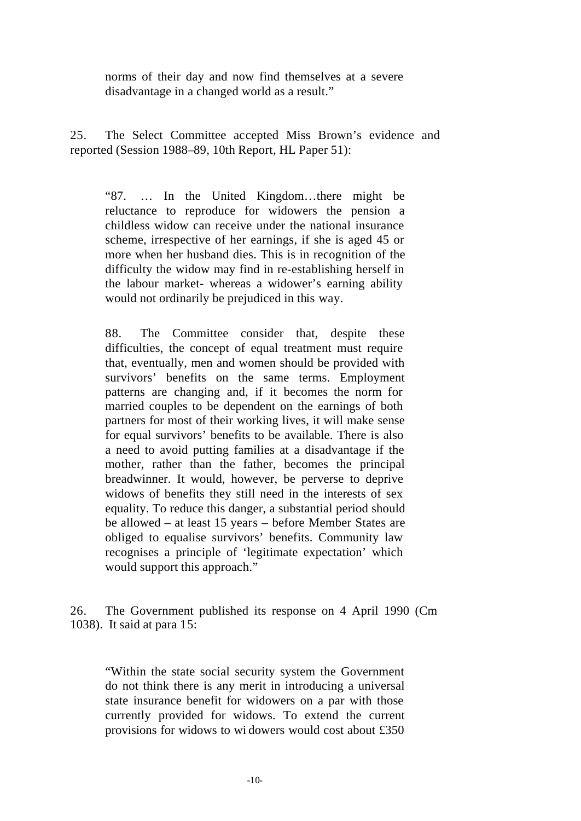norms of their day and now find themselves at a severe disadvantage in a changed world as a result."

25. The Select Committee accepted Miss Brown's evidence and reported (Session 1988–89, 10th Report, HL Paper 51):

"87. … In the United Kingdom…there might be reluctance to reproduce for widowers the pension a childless widow can receive under the national insurance scheme, irrespective of her earnings, if she is aged 45 or more when her husband dies. This is in recognition of the difficulty the widow may find in re-establishing herself in the labour market- whereas a widower's earning ability would not ordinarily be prejudiced in this way.

88. The Committee consider that, despite these difficulties, the concept of equal treatment must require that, eventually, men and women should be provided with survivors' benefits on the same terms. Employment patterns are changing and, if it becomes the norm for married couples to be dependent on the earnings of both partners for most of their working lives, it will make sense for equal survivors' benefits to be available. There is also a need to avoid putting families at a disadvantage if the mother, rather than the father, becomes the principal breadwinner. It would, however, be perverse to deprive widows of benefits they still need in the interests of sex equality. To reduce this danger, a substantial period should be allowed – at least 15 years – before Member States are obliged to equalise survivors' benefits. Community law recognises a principle of 'legitimate expectation' which would support this approach."

26. The Government published its response on 4 April 1990 (Cm 1038). It said at para 15:

"Within the state social security system the Government do not think there is any merit in introducing a universal state insurance benefit for widowers on a par with those currently provided for widows. To extend the current provisions for widows to wi dowers would cost about £350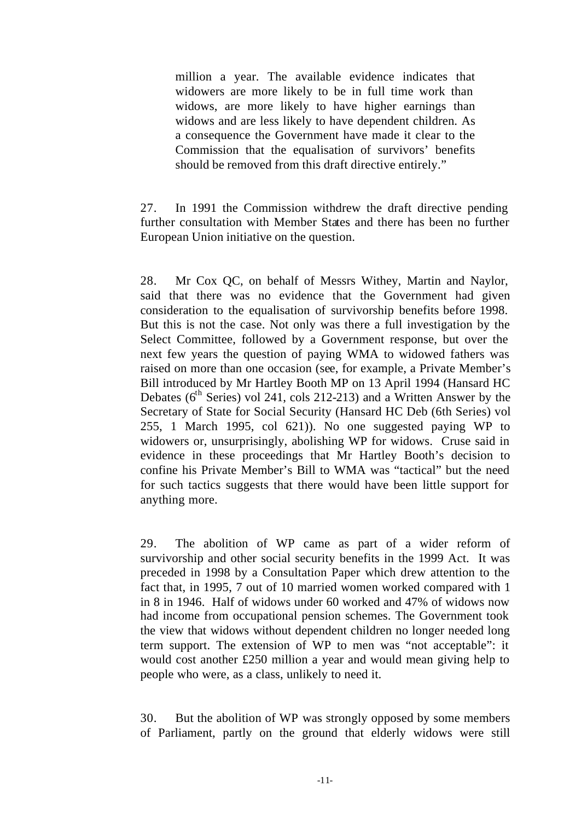million a year. The available evidence indicates that widowers are more likely to be in full time work than widows, are more likely to have higher earnings than widows and are less likely to have dependent children. As a consequence the Government have made it clear to the Commission that the equalisation of survivors' benefits should be removed from this draft directive entirely."

27. In 1991 the Commission withdrew the draft directive pending further consultation with Member States and there has been no further European Union initiative on the question.

28. Mr Cox QC, on behalf of Messrs Withey, Martin and Naylor, said that there was no evidence that the Government had given consideration to the equalisation of survivorship benefits before 1998. But this is not the case. Not only was there a full investigation by the Select Committee, followed by a Government response, but over the next few years the question of paying WMA to widowed fathers was raised on more than one occasion (see, for example, a Private Member's Bill introduced by Mr Hartley Booth MP on 13 April 1994 (Hansard HC Debates ( $6<sup>th</sup>$  Series) vol 241, cols 212-213) and a Written Answer by the Secretary of State for Social Security (Hansard HC Deb (6th Series) vol 255, 1 March 1995, col 621)). No one suggested paying WP to widowers or, unsurprisingly, abolishing WP for widows. Cruse said in evidence in these proceedings that Mr Hartley Booth's decision to confine his Private Member's Bill to WMA was "tactical" but the need for such tactics suggests that there would have been little support for anything more.

29. The abolition of WP came as part of a wider reform of survivorship and other social security benefits in the 1999 Act. It was preceded in 1998 by a Consultation Paper which drew attention to the fact that, in 1995, 7 out of 10 married women worked compared with 1 in 8 in 1946. Half of widows under 60 worked and 47% of widows now had income from occupational pension schemes. The Government took the view that widows without dependent children no longer needed long term support. The extension of WP to men was "not acceptable": it would cost another £250 million a year and would mean giving help to people who were, as a class, unlikely to need it.

30. But the abolition of WP was strongly opposed by some members of Parliament, partly on the ground that elderly widows were still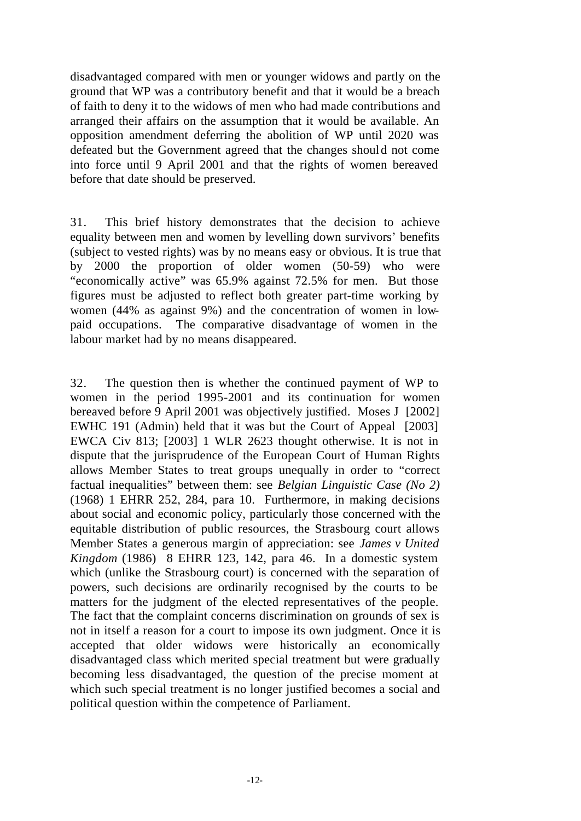disadvantaged compared with men or younger widows and partly on the ground that WP was a contributory benefit and that it would be a breach of faith to deny it to the widows of men who had made contributions and arranged their affairs on the assumption that it would be available. An opposition amendment deferring the abolition of WP until 2020 was defeated but the Government agreed that the changes should not come into force until 9 April 2001 and that the rights of women bereaved before that date should be preserved.

31. This brief history demonstrates that the decision to achieve equality between men and women by levelling down survivors' benefits (subject to vested rights) was by no means easy or obvious. It is true that by 2000 the proportion of older women (50-59) who were "economically active" was 65.9% against 72.5% for men. But those figures must be adjusted to reflect both greater part-time working by women (44% as against 9%) and the concentration of women in lowpaid occupations. The comparative disadvantage of women in the labour market had by no means disappeared.

32. The question then is whether the continued payment of WP to women in the period 1995-2001 and its continuation for women bereaved before 9 April 2001 was objectively justified. Moses J [2002] EWHC 191 (Admin) held that it was but the Court of Appeal [2003] EWCA Civ 813; [2003] 1 WLR 2623 thought otherwise. It is not in dispute that the jurisprudence of the European Court of Human Rights allows Member States to treat groups unequally in order to "correct factual inequalities" between them: see *Belgian Linguistic Case (No 2)* (1968) 1 EHRR 252, 284, para 10. Furthermore, in making decisions about social and economic policy, particularly those concerned with the equitable distribution of public resources, the Strasbourg court allows Member States a generous margin of appreciation: see *James v United Kingdom* (1986) 8 EHRR 123, 142, para 46. In a domestic system which (unlike the Strasbourg court) is concerned with the separation of powers, such decisions are ordinarily recognised by the courts to be matters for the judgment of the elected representatives of the people. The fact that the complaint concerns discrimination on grounds of sex is not in itself a reason for a court to impose its own judgment. Once it is accepted that older widows were historically an economically disadvantaged class which merited special treatment but were gradually becoming less disadvantaged, the question of the precise moment at which such special treatment is no longer justified becomes a social and political question within the competence of Parliament.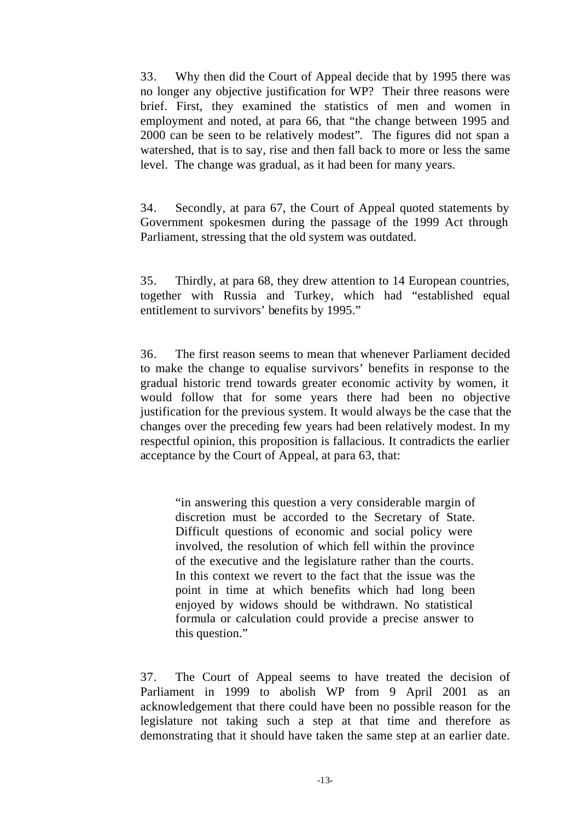33. Why then did the Court of Appeal decide that by 1995 there was no longer any objective justification for WP? Their three reasons were brief. First, they examined the statistics of men and women in employment and noted, at para 66, that "the change between 1995 and 2000 can be seen to be relatively modest". The figures did not span a watershed, that is to say, rise and then fall back to more or less the same level. The change was gradual, as it had been for many years.

34. Secondly, at para 67, the Court of Appeal quoted statements by Government spokesmen during the passage of the 1999 Act through Parliament, stressing that the old system was outdated.

35. Thirdly, at para 68, they drew attention to 14 European countries, together with Russia and Turkey, which had "established equal entitlement to survivors' benefits by 1995."

36. The first reason seems to mean that whenever Parliament decided to make the change to equalise survivors' benefits in response to the gradual historic trend towards greater economic activity by women, it would follow that for some years there had been no objective justification for the previous system. It would always be the case that the changes over the preceding few years had been relatively modest. In my respectful opinion, this proposition is fallacious. It contradicts the earlier acceptance by the Court of Appeal, at para 63, that:

"in answering this question a very considerable margin of discretion must be accorded to the Secretary of State. Difficult questions of economic and social policy were involved, the resolution of which fell within the province of the executive and the legislature rather than the courts. In this context we revert to the fact that the issue was the point in time at which benefits which had long been enjoyed by widows should be withdrawn. No statistical formula or calculation could provide a precise answer to this question."

37. The Court of Appeal seems to have treated the decision of Parliament in 1999 to abolish WP from 9 April 2001 as an acknowledgement that there could have been no possible reason for the legislature not taking such a step at that time and therefore as demonstrating that it should have taken the same step at an earlier date.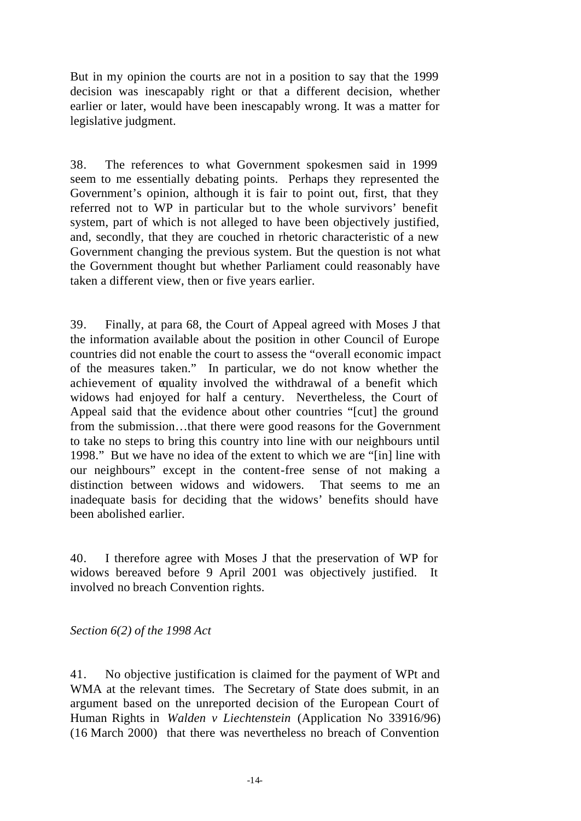But in my opinion the courts are not in a position to say that the 1999 decision was inescapably right or that a different decision, whether earlier or later, would have been inescapably wrong. It was a matter for legislative judgment.

38. The references to what Government spokesmen said in 1999 seem to me essentially debating points. Perhaps they represented the Government's opinion, although it is fair to point out, first, that they referred not to WP in particular but to the whole survivors' benefit system, part of which is not alleged to have been objectively justified, and, secondly, that they are couched in rhetoric characteristic of a new Government changing the previous system. But the question is not what the Government thought but whether Parliament could reasonably have taken a different view, then or five years earlier.

39. Finally, at para 68, the Court of Appeal agreed with Moses J that the information available about the position in other Council of Europe countries did not enable the court to assess the "overall economic impact of the measures taken." In particular, we do not know whether the achievement of equality involved the withdrawal of a benefit which widows had enjoyed for half a century. Nevertheless, the Court of Appeal said that the evidence about other countries "[cut] the ground from the submission…that there were good reasons for the Government to take no steps to bring this country into line with our neighbours until 1998." But we have no idea of the extent to which we are "[in] line with our neighbours" except in the content-free sense of not making a distinction between widows and widowers. That seems to me an inadequate basis for deciding that the widows' benefits should have been abolished earlier.

40. I therefore agree with Moses J that the preservation of WP for widows bereaved before 9 April 2001 was objectively justified. It involved no breach Convention rights.

*Section 6(2) of the 1998 Act*

41. No objective justification is claimed for the payment of WPt and WMA at the relevant times. The Secretary of State does submit, in an argument based on the unreported decision of the European Court of Human Rights in *Walden v Liechtenstein* (Application No 33916/96) (16 March 2000) that there was nevertheless no breach of Convention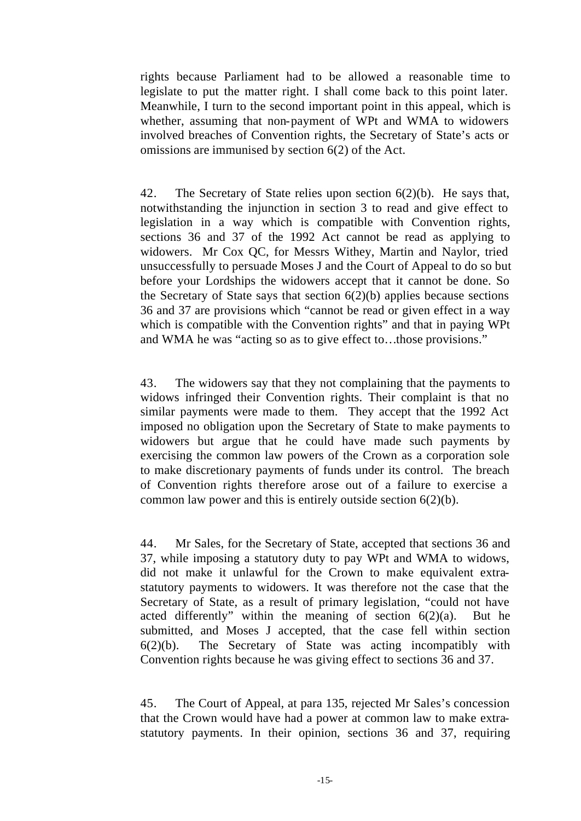rights because Parliament had to be allowed a reasonable time to legislate to put the matter right. I shall come back to this point later. Meanwhile, I turn to the second important point in this appeal, which is whether, assuming that non-payment of WPt and WMA to widowers involved breaches of Convention rights, the Secretary of State's acts or omissions are immunised by section 6(2) of the Act.

42. The Secretary of State relies upon section 6(2)(b). He says that, notwithstanding the injunction in section 3 to read and give effect to legislation in a way which is compatible with Convention rights, sections 36 and 37 of the 1992 Act cannot be read as applying to widowers. Mr Cox QC, for Messrs Withey, Martin and Naylor, tried unsuccessfully to persuade Moses J and the Court of Appeal to do so but before your Lordships the widowers accept that it cannot be done. So the Secretary of State says that section  $6(2)(b)$  applies because sections 36 and 37 are provisions which "cannot be read or given effect in a way which is compatible with the Convention rights" and that in paying WPt and WMA he was "acting so as to give effect to…those provisions."

43. The widowers say that they not complaining that the payments to widows infringed their Convention rights. Their complaint is that no similar payments were made to them. They accept that the 1992 Act imposed no obligation upon the Secretary of State to make payments to widowers but argue that he could have made such payments by exercising the common law powers of the Crown as a corporation sole to make discretionary payments of funds under its control. The breach of Convention rights therefore arose out of a failure to exercise a common law power and this is entirely outside section 6(2)(b).

44. Mr Sales, for the Secretary of State, accepted that sections 36 and 37, while imposing a statutory duty to pay WPt and WMA to widows, did not make it unlawful for the Crown to make equivalent extrastatutory payments to widowers. It was therefore not the case that the Secretary of State, as a result of primary legislation, "could not have acted differently" within the meaning of section  $6(2)(a)$ . But he submitted, and Moses J accepted, that the case fell within section 6(2)(b). The Secretary of State was acting incompatibly with Convention rights because he was giving effect to sections 36 and 37.

45. The Court of Appeal, at para 135, rejected Mr Sales's concession that the Crown would have had a power at common law to make extrastatutory payments. In their opinion, sections 36 and 37, requiring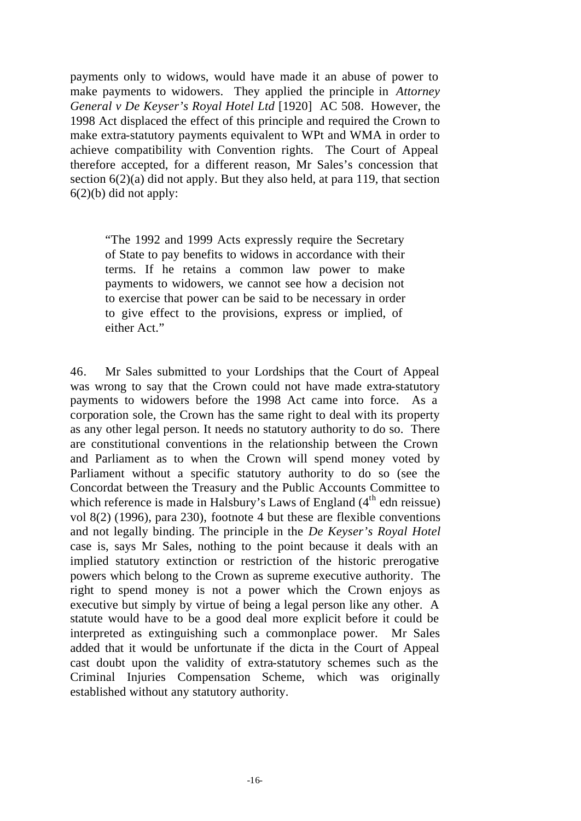payments only to widows, would have made it an abuse of power to make payments to widowers. They applied the principle in *Attorney General v De Keyser's Royal Hotel Ltd* [1920] AC 508. However, the 1998 Act displaced the effect of this principle and required the Crown to make extra-statutory payments equivalent to WPt and WMA in order to achieve compatibility with Convention rights. The Court of Appeal therefore accepted, for a different reason, Mr Sales's concession that section  $6(2)(a)$  did not apply. But they also held, at para 119, that section  $6(2)(b)$  did not apply:

"The 1992 and 1999 Acts expressly require the Secretary of State to pay benefits to widows in accordance with their terms. If he retains a common law power to make payments to widowers, we cannot see how a decision not to exercise that power can be said to be necessary in order to give effect to the provisions, express or implied, of either Act."

46. Mr Sales submitted to your Lordships that the Court of Appeal was wrong to say that the Crown could not have made extra-statutory payments to widowers before the 1998 Act came into force. As a corporation sole, the Crown has the same right to deal with its property as any other legal person. It needs no statutory authority to do so. There are constitutional conventions in the relationship between the Crown and Parliament as to when the Crown will spend money voted by Parliament without a specific statutory authority to do so (see the Concordat between the Treasury and the Public Accounts Committee to which reference is made in Halsbury's Laws of England  $(4<sup>th</sup>$  edn reissue) vol 8(2) (1996), para 230), footnote 4 but these are flexible conventions and not legally binding. The principle in the *De Keyser's Royal Hotel* case is, says Mr Sales, nothing to the point because it deals with an implied statutory extinction or restriction of the historic prerogative powers which belong to the Crown as supreme executive authority. The right to spend money is not a power which the Crown enjoys as executive but simply by virtue of being a legal person like any other. A statute would have to be a good deal more explicit before it could be interpreted as extinguishing such a commonplace power. Mr Sales added that it would be unfortunate if the dicta in the Court of Appeal cast doubt upon the validity of extra-statutory schemes such as the Criminal Injuries Compensation Scheme, which was originally established without any statutory authority.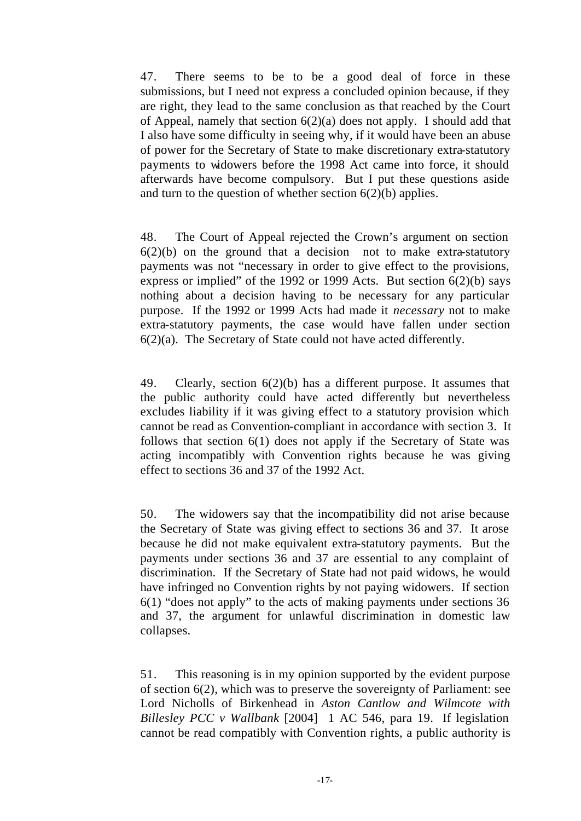47. There seems to be to be a good deal of force in these submissions, but I need not express a concluded opinion because, if they are right, they lead to the same conclusion as that reached by the Court of Appeal, namely that section 6(2)(a) does not apply. I should add that I also have some difficulty in seeing why, if it would have been an abuse of power for the Secretary of State to make discretionary extra-statutory payments to widowers before the 1998 Act came into force, it should afterwards have become compulsory. But I put these questions aside and turn to the question of whether section  $6(2)(b)$  applies.

48. The Court of Appeal rejected the Crown's argument on section  $6(2)(b)$  on the ground that a decision not to make extra-statutory payments was not "necessary in order to give effect to the provisions, express or implied" of the 1992 or 1999 Acts. But section  $6(2)(b)$  says nothing about a decision having to be necessary for any particular purpose. If the 1992 or 1999 Acts had made it *necessary* not to make extra-statutory payments, the case would have fallen under section 6(2)(a). The Secretary of State could not have acted differently.

49. Clearly, section 6(2)(b) has a different purpose. It assumes that the public authority could have acted differently but nevertheless excludes liability if it was giving effect to a statutory provision which cannot be read as Convention-compliant in accordance with section 3. It follows that section 6(1) does not apply if the Secretary of State was acting incompatibly with Convention rights because he was giving effect to sections 36 and 37 of the 1992 Act.

50. The widowers say that the incompatibility did not arise because the Secretary of State was giving effect to sections 36 and 37. It arose because he did not make equivalent extra-statutory payments. But the payments under sections 36 and 37 are essential to any complaint of discrimination. If the Secretary of State had not paid widows, he would have infringed no Convention rights by not paying widowers. If section 6(1) "does not apply" to the acts of making payments under sections 36 and 37, the argument for unlawful discrimination in domestic law collapses.

51. This reasoning is in my opinion supported by the evident purpose of section 6(2), which was to preserve the sovereignty of Parliament: see Lord Nicholls of Birkenhead in *Aston Cantlow and Wilmcote with Billesley PCC v Wallbank* [2004] 1 AC 546, para 19. If legislation cannot be read compatibly with Convention rights, a public authority is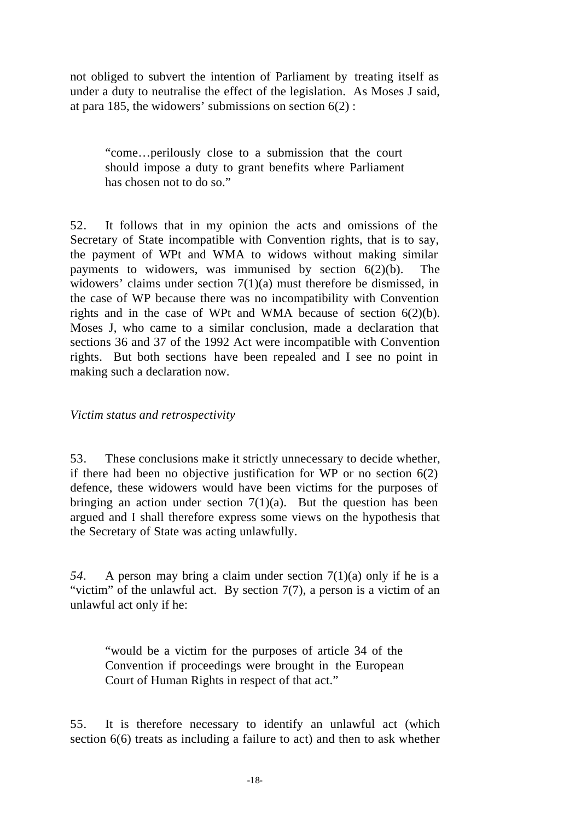not obliged to subvert the intention of Parliament by treating itself as under a duty to neutralise the effect of the legislation. As Moses J said, at para 185, the widowers' submissions on section  $6(2)$ :

"come…perilously close to a submission that the court should impose a duty to grant benefits where Parliament has chosen not to do so."

52. It follows that in my opinion the acts and omissions of the Secretary of State incompatible with Convention rights, that is to say, the payment of WPt and WMA to widows without making similar payments to widowers, was immunised by section  $6(2)(b)$ . The widowers' claims under section 7(1)(a) must therefore be dismissed, in the case of WP because there was no incompatibility with Convention rights and in the case of WPt and WMA because of section 6(2)(b). Moses J, who came to a similar conclusion, made a declaration that sections 36 and 37 of the 1992 Act were incompatible with Convention rights. But both sections have been repealed and I see no point in making such a declaration now.

#### *Victim status and retrospectivity*

53. These conclusions make it strictly unnecessary to decide whether, if there had been no objective justification for WP or no section  $6(2)$ defence, these widowers would have been victims for the purposes of bringing an action under section  $7(1)(a)$ . But the question has been argued and I shall therefore express some views on the hypothesis that the Secretary of State was acting unlawfully.

*54.* A person may bring a claim under section 7(1)(a) only if he is a "victim" of the unlawful act. By section  $7(7)$ , a person is a victim of an unlawful act only if he:

"would be a victim for the purposes of article 34 of the Convention if proceedings were brought in the European Court of Human Rights in respect of that act."

55. It is therefore necessary to identify an unlawful act (which section 6(6) treats as including a failure to act) and then to ask whether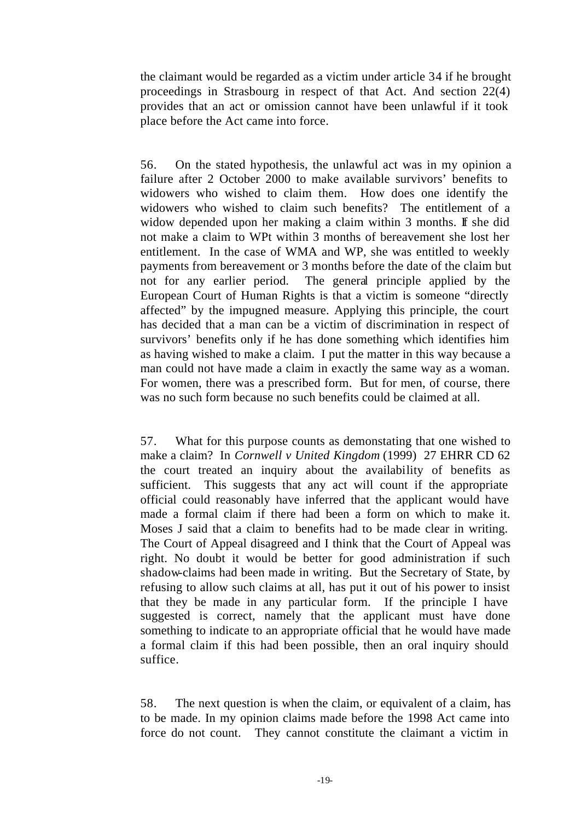the claimant would be regarded as a victim under article 34 if he brought proceedings in Strasbourg in respect of that Act. And section 22(4) provides that an act or omission cannot have been unlawful if it took place before the Act came into force.

56. On the stated hypothesis, the unlawful act was in my opinion a failure after 2 October 2000 to make available survivors' benefits to widowers who wished to claim them. How does one identify the widowers who wished to claim such benefits? The entitlement of a widow depended upon her making a claim within 3 months. If she did not make a claim to WPt within 3 months of bereavement she lost her entitlement. In the case of WMA and WP, she was entitled to weekly payments from bereavement or 3 months before the date of the claim but not for any earlier period. The general principle applied by the European Court of Human Rights is that a victim is someone "directly affected" by the impugned measure. Applying this principle, the court has decided that a man can be a victim of discrimination in respect of survivors' benefits only if he has done something which identifies him as having wished to make a claim. I put the matter in this way because a man could not have made a claim in exactly the same way as a woman. For women, there was a prescribed form. But for men, of course, there was no such form because no such benefits could be claimed at all.

57. What for this purpose counts as demonstating that one wished to make a claim? In *Cornwell v United Kingdom* (1999) 27 EHRR CD 62 the court treated an inquiry about the availability of benefits as sufficient. This suggests that any act will count if the appropriate official could reasonably have inferred that the applicant would have made a formal claim if there had been a form on which to make it. Moses J said that a claim to benefits had to be made clear in writing. The Court of Appeal disagreed and I think that the Court of Appeal was right. No doubt it would be better for good administration if such shadow-claims had been made in writing. But the Secretary of State, by refusing to allow such claims at all, has put it out of his power to insist that they be made in any particular form. If the principle I have suggested is correct, namely that the applicant must have done something to indicate to an appropriate official that he would have made a formal claim if this had been possible, then an oral inquiry should suffice.

58. The next question is when the claim, or equivalent of a claim, has to be made. In my opinion claims made before the 1998 Act came into force do not count. They cannot constitute the claimant a victim in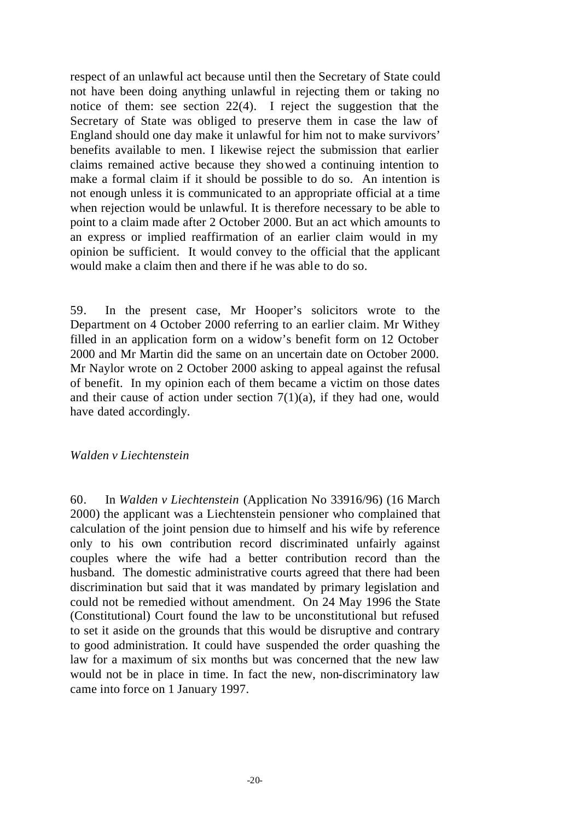respect of an unlawful act because until then the Secretary of State could not have been doing anything unlawful in rejecting them or taking no notice of them: see section 22(4). I reject the suggestion that the Secretary of State was obliged to preserve them in case the law of England should one day make it unlawful for him not to make survivors' benefits available to men. I likewise reject the submission that earlier claims remained active because they showed a continuing intention to make a formal claim if it should be possible to do so. An intention is not enough unless it is communicated to an appropriate official at a time when rejection would be unlawful. It is therefore necessary to be able to point to a claim made after 2 October 2000. But an act which amounts to an express or implied reaffirmation of an earlier claim would in my opinion be sufficient. It would convey to the official that the applicant would make a claim then and there if he was able to do so.

59. In the present case, Mr Hooper's solicitors wrote to the Department on 4 October 2000 referring to an earlier claim. Mr Withey filled in an application form on a widow's benefit form on 12 October 2000 and Mr Martin did the same on an uncertain date on October 2000. Mr Naylor wrote on 2 October 2000 asking to appeal against the refusal of benefit. In my opinion each of them became a victim on those dates and their cause of action under section  $7(1)(a)$ , if they had one, would have dated accordingly.

#### *Walden v Liechtenstein*

60. In *Walden v Liechtenstein* (Application No 33916/96) (16 March 2000) the applicant was a Liechtenstein pensioner who complained that calculation of the joint pension due to himself and his wife by reference only to his own contribution record discriminated unfairly against couples where the wife had a better contribution record than the husband. The domestic administrative courts agreed that there had been discrimination but said that it was mandated by primary legislation and could not be remedied without amendment. On 24 May 1996 the State (Constitutional) Court found the law to be unconstitutional but refused to set it aside on the grounds that this would be disruptive and contrary to good administration. It could have suspended the order quashing the law for a maximum of six months but was concerned that the new law would not be in place in time. In fact the new, non-discriminatory law came into force on 1 January 1997.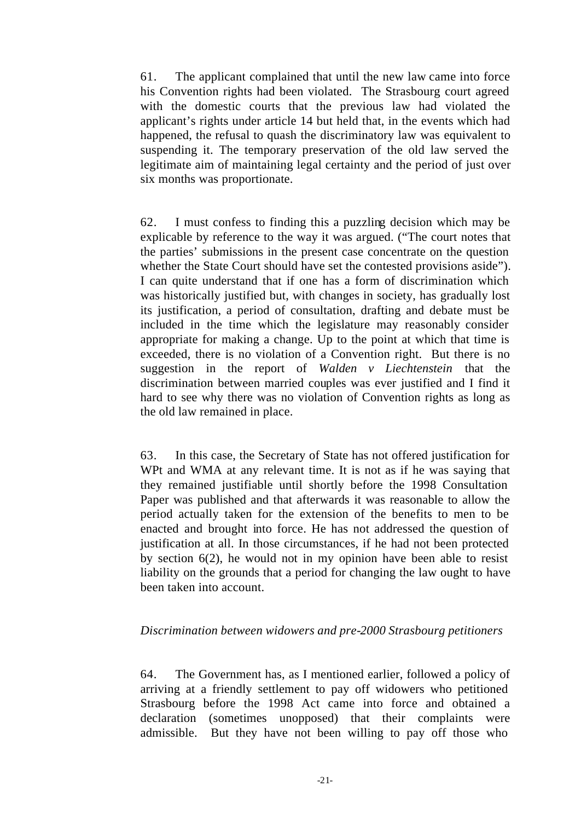61. The applicant complained that until the new law came into force his Convention rights had been violated. The Strasbourg court agreed with the domestic courts that the previous law had violated the applicant's rights under article 14 but held that, in the events which had happened, the refusal to quash the discriminatory law was equivalent to suspending it. The temporary preservation of the old law served the legitimate aim of maintaining legal certainty and the period of just over six months was proportionate.

62. I must confess to finding this a puzzling decision which may be explicable by reference to the way it was argued. ("The court notes that the parties' submissions in the present case concentrate on the question whether the State Court should have set the contested provisions aside"). I can quite understand that if one has a form of discrimination which was historically justified but, with changes in society, has gradually lost its justification, a period of consultation, drafting and debate must be included in the time which the legislature may reasonably consider appropriate for making a change. Up to the point at which that time is exceeded, there is no violation of a Convention right. But there is no suggestion in the report of *Walden v Liechtenstein* that the discrimination between married couples was ever justified and I find it hard to see why there was no violation of Convention rights as long as the old law remained in place.

63. In this case, the Secretary of State has not offered justification for WPt and WMA at any relevant time. It is not as if he was saying that they remained justifiable until shortly before the 1998 Consultation Paper was published and that afterwards it was reasonable to allow the period actually taken for the extension of the benefits to men to be enacted and brought into force. He has not addressed the question of justification at all. In those circumstances, if he had not been protected by section 6(2), he would not in my opinion have been able to resist liability on the grounds that a period for changing the law ought to have been taken into account.

#### *Discrimination between widowers and pre-2000 Strasbourg petitioners*

64. The Government has, as I mentioned earlier, followed a policy of arriving at a friendly settlement to pay off widowers who petitioned Strasbourg before the 1998 Act came into force and obtained a declaration (sometimes unopposed) that their complaints were admissible. But they have not been willing to pay off those who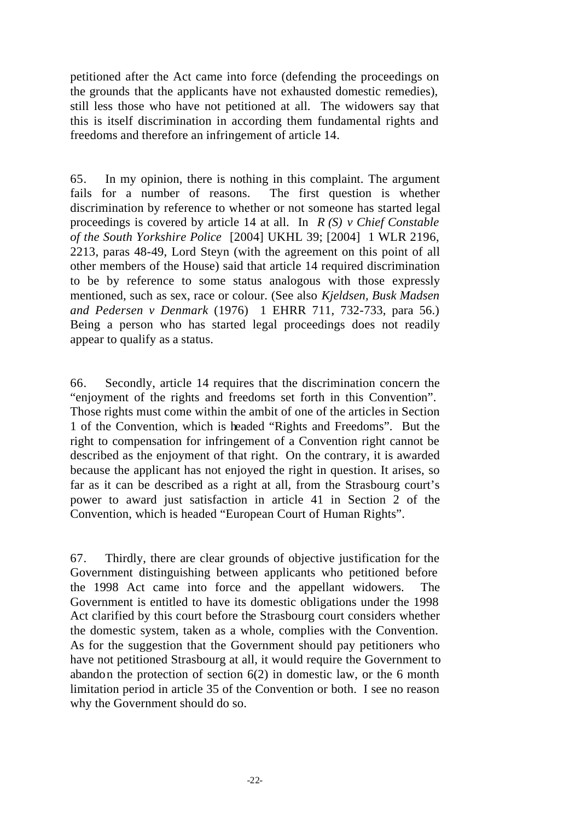petitioned after the Act came into force (defending the proceedings on the grounds that the applicants have not exhausted domestic remedies), still less those who have not petitioned at all. The widowers say that this is itself discrimination in according them fundamental rights and freedoms and therefore an infringement of article 14.

65. In my opinion, there is nothing in this complaint. The argument fails for a number of reasons. The first question is whether discrimination by reference to whether or not someone has started legal proceedings is covered by article 14 at all. In *R (S) v Chief Constable of the South Yorkshire Police* [2004] UKHL 39; [2004] 1 WLR 2196, 2213, paras 48-49, Lord Steyn (with the agreement on this point of all other members of the House) said that article 14 required discrimination to be by reference to some status analogous with those expressly mentioned, such as sex, race or colour. (See also *Kjeldsen, Busk Madsen and Pedersen v Denmark* (1976) 1 EHRR 711, 732-733, para 56.) Being a person who has started legal proceedings does not readily appear to qualify as a status.

66. Secondly, article 14 requires that the discrimination concern the "enjoyment of the rights and freedoms set forth in this Convention". Those rights must come within the ambit of one of the articles in Section 1 of the Convention, which is headed "Rights and Freedoms". But the right to compensation for infringement of a Convention right cannot be described as the enjoyment of that right. On the contrary, it is awarded because the applicant has not enjoyed the right in question. It arises, so far as it can be described as a right at all, from the Strasbourg court's power to award just satisfaction in article 41 in Section 2 of the Convention, which is headed "European Court of Human Rights".

67. Thirdly, there are clear grounds of objective justification for the Government distinguishing between applicants who petitioned before the 1998 Act came into force and the appellant widowers. The Government is entitled to have its domestic obligations under the 1998 Act clarified by this court before the Strasbourg court considers whether the domestic system, taken as a whole, complies with the Convention. As for the suggestion that the Government should pay petitioners who have not petitioned Strasbourg at all, it would require the Government to abandon the protection of section  $6(2)$  in domestic law, or the 6 month limitation period in article 35 of the Convention or both. I see no reason why the Government should do so.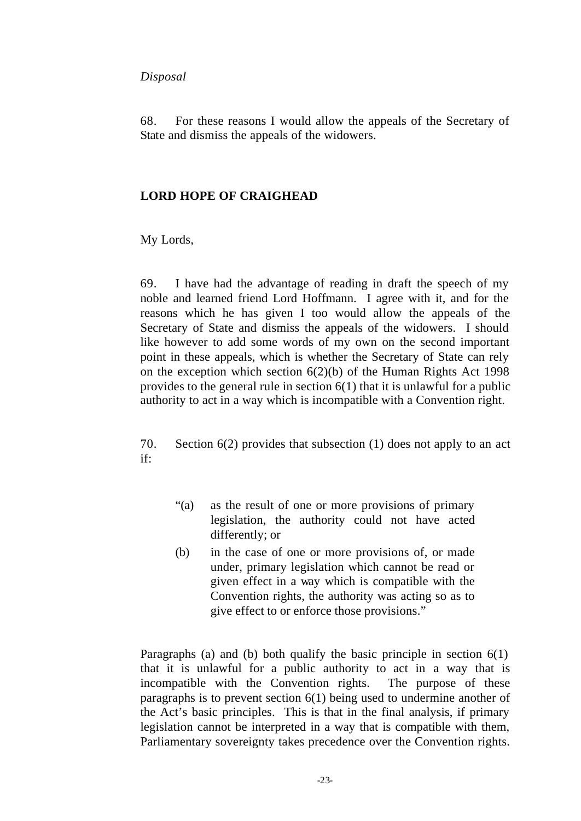#### *Disposal*

68. For these reasons I would allow the appeals of the Secretary of State and dismiss the appeals of the widowers.

#### **LORD HOPE OF CRAIGHEAD**

My Lords,

69. I have had the advantage of reading in draft the speech of my noble and learned friend Lord Hoffmann. I agree with it, and for the reasons which he has given I too would allow the appeals of the Secretary of State and dismiss the appeals of the widowers. I should like however to add some words of my own on the second important point in these appeals, which is whether the Secretary of State can rely on the exception which section 6(2)(b) of the Human Rights Act 1998 provides to the general rule in section 6(1) that it is unlawful for a public authority to act in a way which is incompatible with a Convention right.

70. Section 6(2) provides that subsection (1) does not apply to an act if:

- "(a) as the result of one or more provisions of primary legislation, the authority could not have acted differently; or
- (b) in the case of one or more provisions of, or made under, primary legislation which cannot be read or given effect in a way which is compatible with the Convention rights, the authority was acting so as to give effect to or enforce those provisions."

Paragraphs (a) and (b) both qualify the basic principle in section 6(1) that it is unlawful for a public authority to act in a way that is incompatible with the Convention rights. The purpose of these paragraphs is to prevent section 6(1) being used to undermine another of the Act's basic principles. This is that in the final analysis, if primary legislation cannot be interpreted in a way that is compatible with them, Parliamentary sovereignty takes precedence over the Convention rights.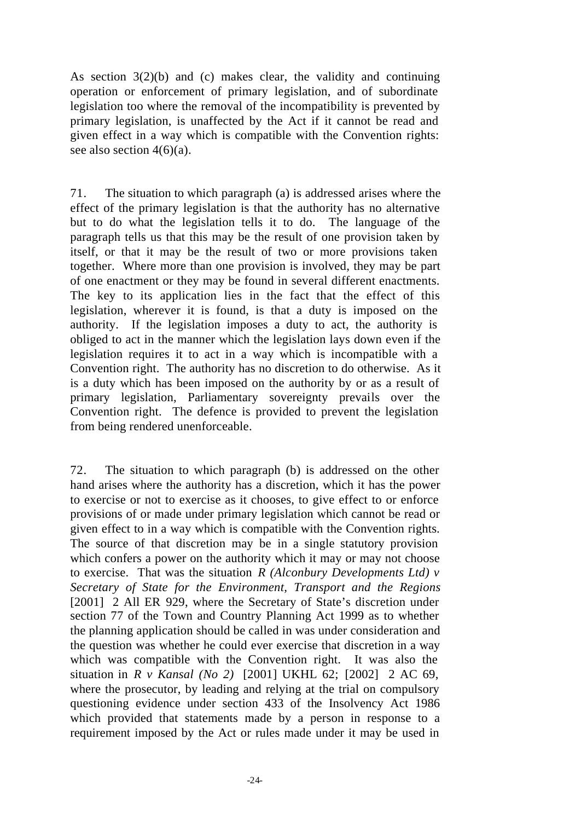As section  $3(2)(b)$  and (c) makes clear, the validity and continuing operation or enforcement of primary legislation, and of subordinate legislation too where the removal of the incompatibility is prevented by primary legislation, is unaffected by the Act if it cannot be read and given effect in a way which is compatible with the Convention rights: see also section  $4(6)(a)$ .

71. The situation to which paragraph (a) is addressed arises where the effect of the primary legislation is that the authority has no alternative but to do what the legislation tells it to do. The language of the paragraph tells us that this may be the result of one provision taken by itself, or that it may be the result of two or more provisions taken together. Where more than one provision is involved, they may be part of one enactment or they may be found in several different enactments. The key to its application lies in the fact that the effect of this legislation, wherever it is found, is that a duty is imposed on the authority. If the legislation imposes a duty to act, the authority is obliged to act in the manner which the legislation lays down even if the legislation requires it to act in a way which is incompatible with a Convention right. The authority has no discretion to do otherwise. As it is a duty which has been imposed on the authority by or as a result of primary legislation, Parliamentary sovereignty prevails over the Convention right. The defence is provided to prevent the legislation from being rendered unenforceable.

72. The situation to which paragraph (b) is addressed on the other hand arises where the authority has a discretion, which it has the power to exercise or not to exercise as it chooses, to give effect to or enforce provisions of or made under primary legislation which cannot be read or given effect to in a way which is compatible with the Convention rights. The source of that discretion may be in a single statutory provision which confers a power on the authority which it may or may not choose to exercise. That was the situation *R (Alconbury Developments Ltd) v Secretary of State for the Environment, Transport and the Regions* [2001] 2 All ER 929, where the Secretary of State's discretion under section 77 of the Town and Country Planning Act 1999 as to whether the planning application should be called in was under consideration and the question was whether he could ever exercise that discretion in a way which was compatible with the Convention right. It was also the situation in *R v Kansal (No 2)* [2001] UKHL 62; [2002] 2 AC 69, where the prosecutor, by leading and relying at the trial on compulsory questioning evidence under section 433 of the Insolvency Act 1986 which provided that statements made by a person in response to a requirement imposed by the Act or rules made under it may be used in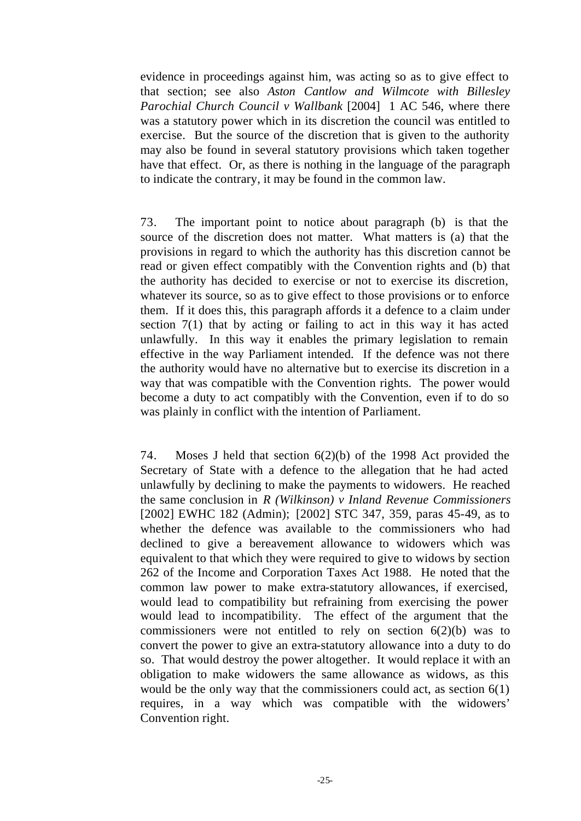evidence in proceedings against him, was acting so as to give effect to that section; see also *Aston Cantlow and Wilmcote with Billesley Parochial Church Council v Wallbank* [2004] 1 AC 546, where there was a statutory power which in its discretion the council was entitled to exercise. But the source of the discretion that is given to the authority may also be found in several statutory provisions which taken together have that effect. Or, as there is nothing in the language of the paragraph to indicate the contrary, it may be found in the common law.

73. The important point to notice about paragraph (b) is that the source of the discretion does not matter. What matters is (a) that the provisions in regard to which the authority has this discretion cannot be read or given effect compatibly with the Convention rights and (b) that the authority has decided to exercise or not to exercise its discretion, whatever its source, so as to give effect to those provisions or to enforce them. If it does this, this paragraph affords it a defence to a claim under section 7(1) that by acting or failing to act in this way it has acted unlawfully. In this way it enables the primary legislation to remain effective in the way Parliament intended. If the defence was not there the authority would have no alternative but to exercise its discretion in a way that was compatible with the Convention rights. The power would become a duty to act compatibly with the Convention, even if to do so was plainly in conflict with the intention of Parliament.

74. Moses J held that section 6(2)(b) of the 1998 Act provided the Secretary of State with a defence to the allegation that he had acted unlawfully by declining to make the payments to widowers. He reached the same conclusion in *R (Wilkinson) v Inland Revenue Commissioners* [2002] EWHC 182 (Admin); [2002] STC 347, 359, paras 45-49, as to whether the defence was available to the commissioners who had declined to give a bereavement allowance to widowers which was equivalent to that which they were required to give to widows by section 262 of the Income and Corporation Taxes Act 1988. He noted that the common law power to make extra-statutory allowances, if exercised, would lead to compatibility but refraining from exercising the power would lead to incompatibility. The effect of the argument that the commissioners were not entitled to rely on section  $6(2)(b)$  was to convert the power to give an extra-statutory allowance into a duty to do so. That would destroy the power altogether. It would replace it with an obligation to make widowers the same allowance as widows, as this would be the only way that the commissioners could act, as section 6(1) requires, in a way which was compatible with the widowers' Convention right.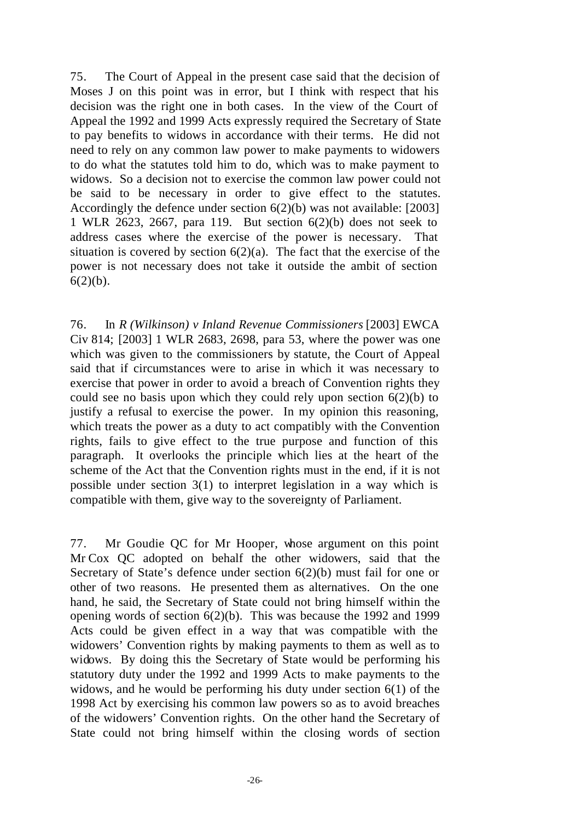75. The Court of Appeal in the present case said that the decision of Moses J on this point was in error, but I think with respect that his decision was the right one in both cases. In the view of the Court of Appeal the 1992 and 1999 Acts expressly required the Secretary of State to pay benefits to widows in accordance with their terms. He did not need to rely on any common law power to make payments to widowers to do what the statutes told him to do, which was to make payment to widows. So a decision not to exercise the common law power could not be said to be necessary in order to give effect to the statutes. Accordingly the defence under section 6(2)(b) was not available: [2003] 1 WLR 2623, 2667, para 119. But section 6(2)(b) does not seek to address cases where the exercise of the power is necessary. That situation is covered by section  $6(2)(a)$ . The fact that the exercise of the power is not necessary does not take it outside the ambit of section  $6(2)(b)$ .

76. In *R (Wilkinson) v Inland Revenue Commissioners* [2003] EWCA Civ 814; [2003] 1 WLR 2683, 2698, para 53, where the power was one which was given to the commissioners by statute, the Court of Appeal said that if circumstances were to arise in which it was necessary to exercise that power in order to avoid a breach of Convention rights they could see no basis upon which they could rely upon section  $6(2)(b)$  to justify a refusal to exercise the power. In my opinion this reasoning, which treats the power as a duty to act compatibly with the Convention rights, fails to give effect to the true purpose and function of this paragraph. It overlooks the principle which lies at the heart of the scheme of the Act that the Convention rights must in the end, if it is not possible under section 3(1) to interpret legislation in a way which is compatible with them, give way to the sovereignty of Parliament.

77. Mr Goudie QC for Mr Hooper, whose argument on this point Mr Cox QC adopted on behalf the other widowers, said that the Secretary of State's defence under section 6(2)(b) must fail for one or other of two reasons. He presented them as alternatives. On the one hand, he said, the Secretary of State could not bring himself within the opening words of section 6(2)(b). This was because the 1992 and 1999 Acts could be given effect in a way that was compatible with the widowers' Convention rights by making payments to them as well as to widows. By doing this the Secretary of State would be performing his statutory duty under the 1992 and 1999 Acts to make payments to the widows, and he would be performing his duty under section 6(1) of the 1998 Act by exercising his common law powers so as to avoid breaches of the widowers' Convention rights. On the other hand the Secretary of State could not bring himself within the closing words of section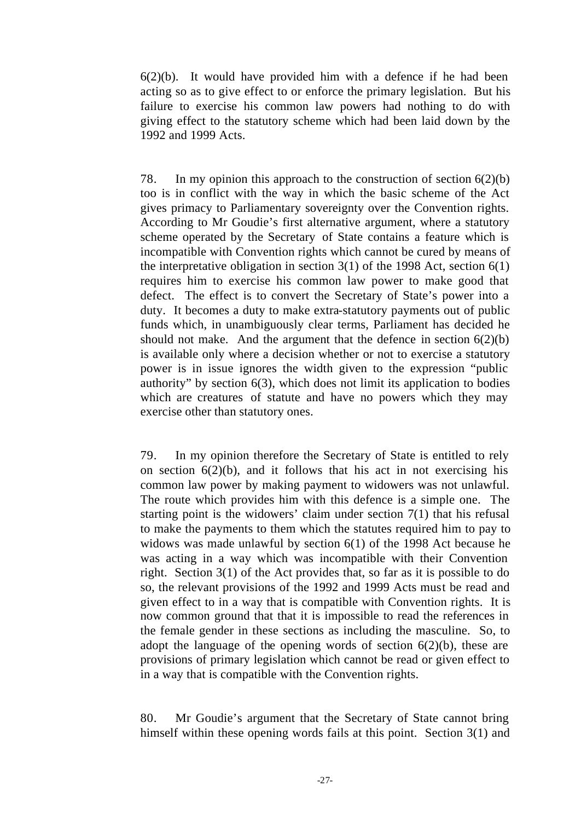$6(2)(b)$ . It would have provided him with a defence if he had been acting so as to give effect to or enforce the primary legislation. But his failure to exercise his common law powers had nothing to do with giving effect to the statutory scheme which had been laid down by the 1992 and 1999 Acts.

78. In my opinion this approach to the construction of section  $6(2)(b)$ too is in conflict with the way in which the basic scheme of the Act gives primacy to Parliamentary sovereignty over the Convention rights. According to Mr Goudie's first alternative argument, where a statutory scheme operated by the Secretary of State contains a feature which is incompatible with Convention rights which cannot be cured by means of the interpretative obligation in section  $3(1)$  of the 1998 Act, section  $6(1)$ requires him to exercise his common law power to make good that defect. The effect is to convert the Secretary of State's power into a duty. It becomes a duty to make extra-statutory payments out of public funds which, in unambiguously clear terms, Parliament has decided he should not make. And the argument that the defence in section  $6(2)(b)$ is available only where a decision whether or not to exercise a statutory power is in issue ignores the width given to the expression "public authority" by section 6(3), which does not limit its application to bodies which are creatures of statute and have no powers which they may exercise other than statutory ones.

79. In my opinion therefore the Secretary of State is entitled to rely on section  $6(2)(b)$ , and it follows that his act in not exercising his common law power by making payment to widowers was not unlawful. The route which provides him with this defence is a simple one. The starting point is the widowers' claim under section  $7(1)$  that his refusal to make the payments to them which the statutes required him to pay to widows was made unlawful by section 6(1) of the 1998 Act because he was acting in a way which was incompatible with their Convention right. Section 3(1) of the Act provides that, so far as it is possible to do so, the relevant provisions of the 1992 and 1999 Acts must be read and given effect to in a way that is compatible with Convention rights. It is now common ground that that it is impossible to read the references in the female gender in these sections as including the masculine. So, to adopt the language of the opening words of section  $6(2)(b)$ , these are provisions of primary legislation which cannot be read or given effect to in a way that is compatible with the Convention rights.

80. Mr Goudie's argument that the Secretary of State cannot bring himself within these opening words fails at this point. Section 3(1) and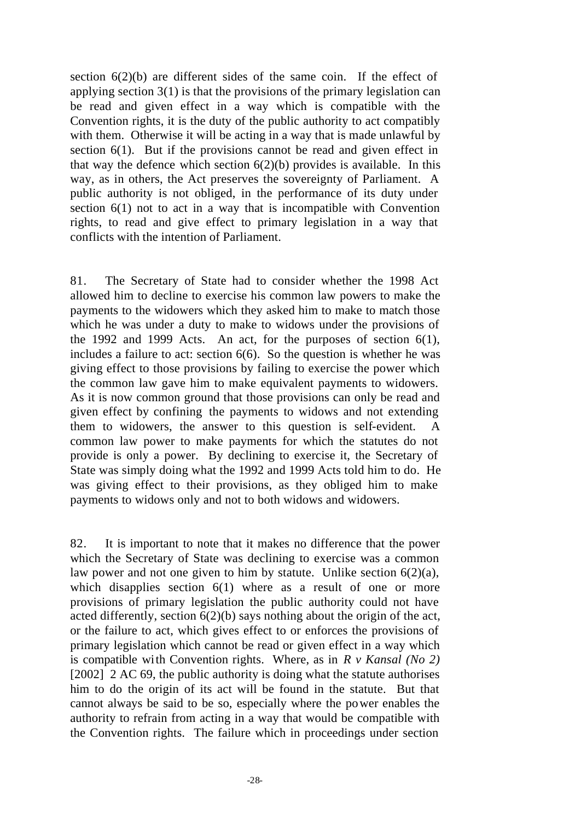section  $6(2)(b)$  are different sides of the same coin. If the effect of applying section 3(1) is that the provisions of the primary legislation can be read and given effect in a way which is compatible with the Convention rights, it is the duty of the public authority to act compatibly with them. Otherwise it will be acting in a way that is made unlawful by section 6(1). But if the provisions cannot be read and given effect in that way the defence which section  $6(2)(b)$  provides is available. In this way, as in others, the Act preserves the sovereignty of Parliament. A public authority is not obliged, in the performance of its duty under section 6(1) not to act in a way that is incompatible with Convention rights, to read and give effect to primary legislation in a way that conflicts with the intention of Parliament.

81. The Secretary of State had to consider whether the 1998 Act allowed him to decline to exercise his common law powers to make the payments to the widowers which they asked him to make to match those which he was under a duty to make to widows under the provisions of the 1992 and 1999 Acts. An act, for the purposes of section  $6(1)$ , includes a failure to act: section 6(6). So the question is whether he was giving effect to those provisions by failing to exercise the power which the common law gave him to make equivalent payments to widowers. As it is now common ground that those provisions can only be read and given effect by confining the payments to widows and not extending them to widowers, the answer to this question is self-evident. A common law power to make payments for which the statutes do not provide is only a power. By declining to exercise it, the Secretary of State was simply doing what the 1992 and 1999 Acts told him to do. He was giving effect to their provisions, as they obliged him to make payments to widows only and not to both widows and widowers.

82. It is important to note that it makes no difference that the power which the Secretary of State was declining to exercise was a common law power and not one given to him by statute. Unlike section  $6(2)(a)$ , which disapplies section 6(1) where as a result of one or more provisions of primary legislation the public authority could not have acted differently, section 6(2)(b) says nothing about the origin of the act, or the failure to act, which gives effect to or enforces the provisions of primary legislation which cannot be read or given effect in a way which is compatible with Convention rights. Where, as in *R v Kansal (No 2)* [2002] 2 AC 69, the public authority is doing what the statute authorises him to do the origin of its act will be found in the statute. But that cannot always be said to be so, especially where the power enables the authority to refrain from acting in a way that would be compatible with the Convention rights. The failure which in proceedings under section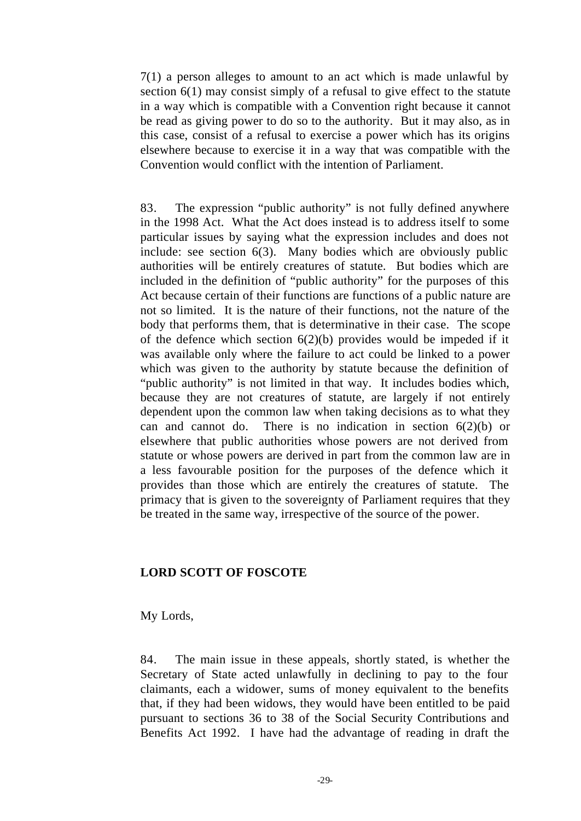7(1) a person alleges to amount to an act which is made unlawful by section 6(1) may consist simply of a refusal to give effect to the statute in a way which is compatible with a Convention right because it cannot be read as giving power to do so to the authority. But it may also, as in this case, consist of a refusal to exercise a power which has its origins elsewhere because to exercise it in a way that was compatible with the Convention would conflict with the intention of Parliament.

83. The expression "public authority" is not fully defined anywhere in the 1998 Act. What the Act does instead is to address itself to some particular issues by saying what the expression includes and does not include: see section 6(3). Many bodies which are obviously public authorities will be entirely creatures of statute. But bodies which are included in the definition of "public authority" for the purposes of this Act because certain of their functions are functions of a public nature are not so limited. It is the nature of their functions, not the nature of the body that performs them, that is determinative in their case. The scope of the defence which section  $6(2)(b)$  provides would be impeded if it was available only where the failure to act could be linked to a power which was given to the authority by statute because the definition of "public authority" is not limited in that way. It includes bodies which, because they are not creatures of statute, are largely if not entirely dependent upon the common law when taking decisions as to what they can and cannot do. There is no indication in section  $6(2)(b)$  or elsewhere that public authorities whose powers are not derived from statute or whose powers are derived in part from the common law are in a less favourable position for the purposes of the defence which it provides than those which are entirely the creatures of statute. The primacy that is given to the sovereignty of Parliament requires that they be treated in the same way, irrespective of the source of the power.

#### **LORD SCOTT OF FOSCOTE**

My Lords,

84. The main issue in these appeals, shortly stated, is whether the Secretary of State acted unlawfully in declining to pay to the four claimants, each a widower, sums of money equivalent to the benefits that, if they had been widows, they would have been entitled to be paid pursuant to sections 36 to 38 of the Social Security Contributions and Benefits Act 1992. I have had the advantage of reading in draft the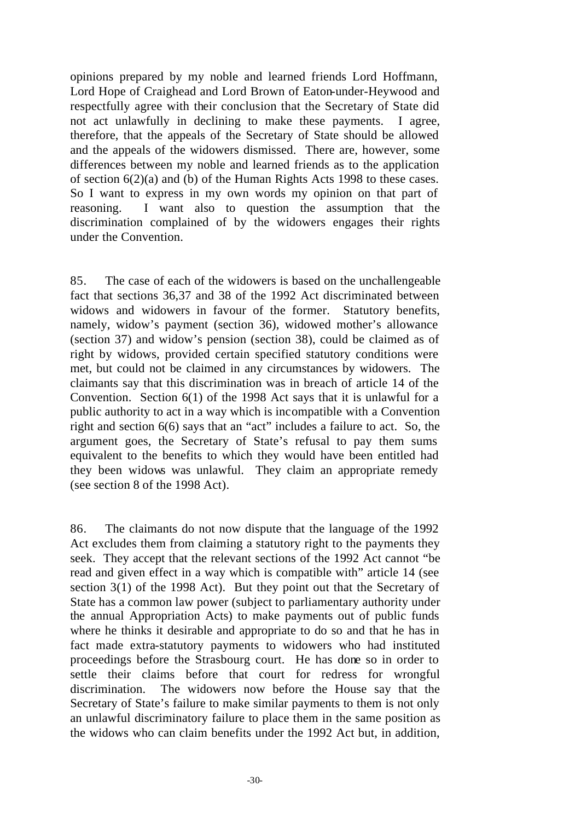opinions prepared by my noble and learned friends Lord Hoffmann, Lord Hope of Craighead and Lord Brown of Eaton-under-Heywood and respectfully agree with their conclusion that the Secretary of State did not act unlawfully in declining to make these payments. I agree, therefore, that the appeals of the Secretary of State should be allowed and the appeals of the widowers dismissed. There are, however, some differences between my noble and learned friends as to the application of section 6(2)(a) and (b) of the Human Rights Acts 1998 to these cases. So I want to express in my own words my opinion on that part of reasoning. I want also to question the assumption that the discrimination complained of by the widowers engages their rights under the Convention.

85. The case of each of the widowers is based on the unchallengeable fact that sections 36,37 and 38 of the 1992 Act discriminated between widows and widowers in favour of the former. Statutory benefits, namely, widow's payment (section 36), widowed mother's allowance (section 37) and widow's pension (section 38), could be claimed as of right by widows, provided certain specified statutory conditions were met, but could not be claimed in any circumstances by widowers. The claimants say that this discrimination was in breach of article 14 of the Convention. Section 6(1) of the 1998 Act says that it is unlawful for a public authority to act in a way which is incompatible with a Convention right and section 6(6) says that an "act" includes a failure to act. So, the argument goes, the Secretary of State's refusal to pay them sums equivalent to the benefits to which they would have been entitled had they been widows was unlawful. They claim an appropriate remedy (see section 8 of the 1998 Act).

86. The claimants do not now dispute that the language of the 1992 Act excludes them from claiming a statutory right to the payments they seek. They accept that the relevant sections of the 1992 Act cannot "be read and given effect in a way which is compatible with" article 14 (see section 3(1) of the 1998 Act). But they point out that the Secretary of State has a common law power (subject to parliamentary authority under the annual Appropriation Acts) to make payments out of public funds where he thinks it desirable and appropriate to do so and that he has in fact made extra-statutory payments to widowers who had instituted proceedings before the Strasbourg court. He has done so in order to settle their claims before that court for redress for wrongful discrimination. The widowers now before the House say that the Secretary of State's failure to make similar payments to them is not only an unlawful discriminatory failure to place them in the same position as the widows who can claim benefits under the 1992 Act but, in addition,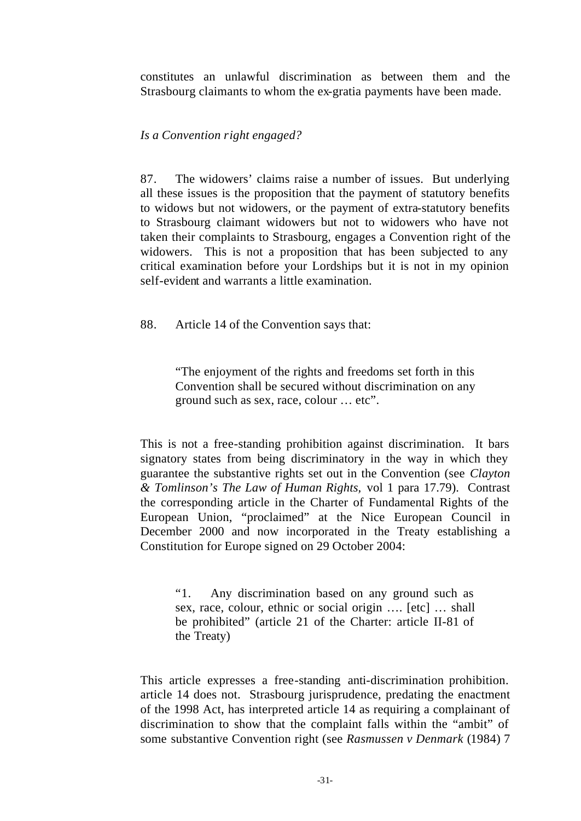constitutes an unlawful discrimination as between them and the Strasbourg claimants to whom the ex-gratia payments have been made.

#### *Is a Convention right engaged?*

87. The widowers' claims raise a number of issues. But underlying all these issues is the proposition that the payment of statutory benefits to widows but not widowers, or the payment of extra-statutory benefits to Strasbourg claimant widowers but not to widowers who have not taken their complaints to Strasbourg, engages a Convention right of the widowers. This is not a proposition that has been subjected to any critical examination before your Lordships but it is not in my opinion self-evident and warrants a little examination.

88. Article 14 of the Convention says that:

"The enjoyment of the rights and freedoms set forth in this Convention shall be secured without discrimination on any ground such as sex, race, colour … etc".

This is not a free-standing prohibition against discrimination. It bars signatory states from being discriminatory in the way in which they guarantee the substantive rights set out in the Convention (see *Clayton & Tomlinson's The Law of Human Rights,* vol 1 para 17.79). Contrast the corresponding article in the Charter of Fundamental Rights of the European Union, "proclaimed" at the Nice European Council in December 2000 and now incorporated in the Treaty establishing a Constitution for Europe signed on 29 October 2004:

"1. Any discrimination based on any ground such as sex, race, colour, ethnic or social origin …. [etc] … shall be prohibited" (article 21 of the Charter: article II-81 of the Treaty)

This article expresses a free-standing anti-discrimination prohibition. article 14 does not. Strasbourg jurisprudence, predating the enactment of the 1998 Act, has interpreted article 14 as requiring a complainant of discrimination to show that the complaint falls within the "ambit" of some substantive Convention right (see *Rasmussen v Denmark* (1984) 7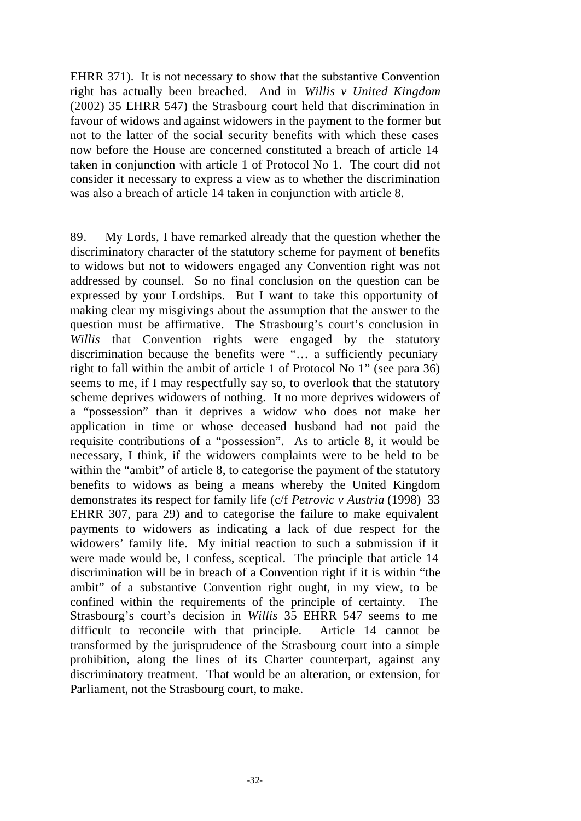EHRR 371). It is not necessary to show that the substantive Convention right has actually been breached. And in *Willis v United Kingdom* (2002) 35 EHRR 547) the Strasbourg court held that discrimination in favour of widows and against widowers in the payment to the former but not to the latter of the social security benefits with which these cases now before the House are concerned constituted a breach of article 14 taken in conjunction with article 1 of Protocol No 1. The court did not consider it necessary to express a view as to whether the discrimination was also a breach of article 14 taken in conjunction with article 8.

89. My Lords, I have remarked already that the question whether the discriminatory character of the statutory scheme for payment of benefits to widows but not to widowers engaged any Convention right was not addressed by counsel. So no final conclusion on the question can be expressed by your Lordships. But I want to take this opportunity of making clear my misgivings about the assumption that the answer to the question must be affirmative. The Strasbourg's court's conclusion in *Willis* that Convention rights were engaged by the statutory discrimination because the benefits were "… a sufficiently pecuniary right to fall within the ambit of article 1 of Protocol No 1" (see para 36) seems to me, if I may respectfully say so, to overlook that the statutory scheme deprives widowers of nothing. It no more deprives widowers of a "possession" than it deprives a widow who does not make her application in time or whose deceased husband had not paid the requisite contributions of a "possession". As to article 8, it would be necessary, I think, if the widowers complaints were to be held to be within the "ambit" of article 8, to categorise the payment of the statutory benefits to widows as being a means whereby the United Kingdom demonstrates its respect for family life (c/f *Petrovic v Austria* (1998) 33 EHRR 307, para 29) and to categorise the failure to make equivalent payments to widowers as indicating a lack of due respect for the widowers' family life. My initial reaction to such a submission if it were made would be, I confess, sceptical. The principle that article 14 discrimination will be in breach of a Convention right if it is within "the ambit" of a substantive Convention right ought, in my view, to be confined within the requirements of the principle of certainty. The Strasbourg's court's decision in *Willis* 35 EHRR 547 seems to me difficult to reconcile with that principle. Article 14 cannot be transformed by the jurisprudence of the Strasbourg court into a simple prohibition, along the lines of its Charter counterpart, against any discriminatory treatment. That would be an alteration, or extension, for Parliament, not the Strasbourg court, to make.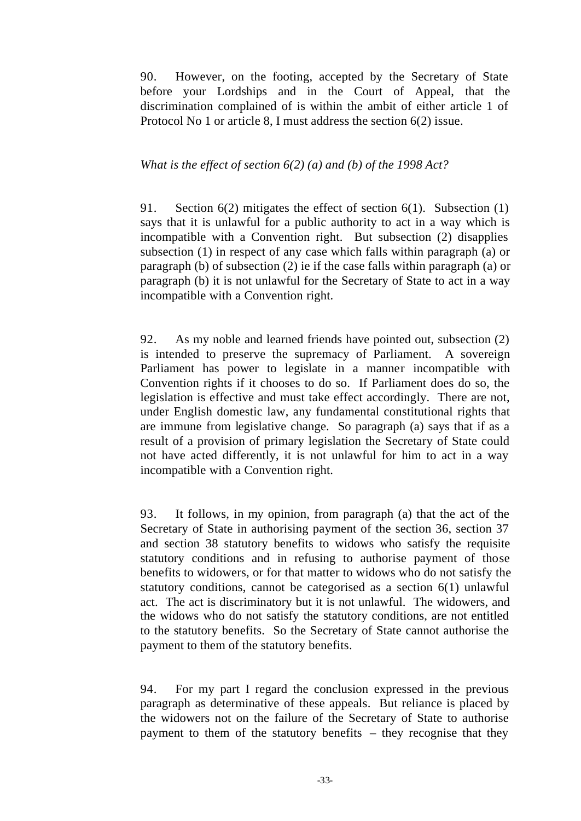90. However, on the footing, accepted by the Secretary of State before your Lordships and in the Court of Appeal, that the discrimination complained of is within the ambit of either article 1 of Protocol No 1 or article 8, I must address the section 6(2) issue.

#### *What is the effect of section 6(2) (a) and (b) of the 1998 Act?*

91. Section 6(2) mitigates the effect of section 6(1). Subsection (1) says that it is unlawful for a public authority to act in a way which is incompatible with a Convention right. But subsection (2) disapplies subsection (1) in respect of any case which falls within paragraph (a) or paragraph (b) of subsection (2) ie if the case falls within paragraph (a) or paragraph (b) it is not unlawful for the Secretary of State to act in a way incompatible with a Convention right.

92. As my noble and learned friends have pointed out, subsection (2) is intended to preserve the supremacy of Parliament. A sovereign Parliament has power to legislate in a manner incompatible with Convention rights if it chooses to do so. If Parliament does do so, the legislation is effective and must take effect accordingly. There are not, under English domestic law, any fundamental constitutional rights that are immune from legislative change. So paragraph (a) says that if as a result of a provision of primary legislation the Secretary of State could not have acted differently, it is not unlawful for him to act in a way incompatible with a Convention right.

93. It follows, in my opinion, from paragraph (a) that the act of the Secretary of State in authorising payment of the section 36, section 37 and section 38 statutory benefits to widows who satisfy the requisite statutory conditions and in refusing to authorise payment of those benefits to widowers, or for that matter to widows who do not satisfy the statutory conditions, cannot be categorised as a section 6(1) unlawful act. The act is discriminatory but it is not unlawful. The widowers, and the widows who do not satisfy the statutory conditions, are not entitled to the statutory benefits. So the Secretary of State cannot authorise the payment to them of the statutory benefits.

94. For my part I regard the conclusion expressed in the previous paragraph as determinative of these appeals. But reliance is placed by the widowers not on the failure of the Secretary of State to authorise payment to them of the statutory benefits – they recognise that they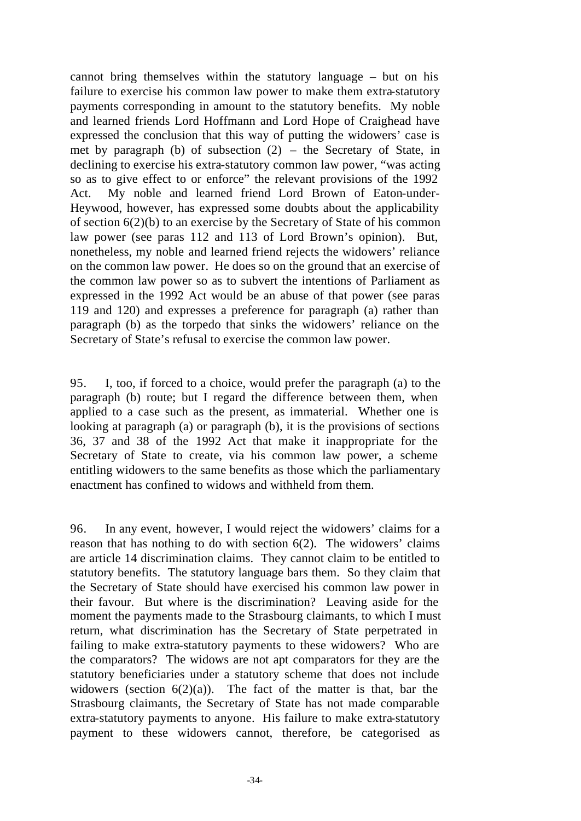cannot bring themselves within the statutory language – but on his failure to exercise his common law power to make them extra-statutory payments corresponding in amount to the statutory benefits. My noble and learned friends Lord Hoffmann and Lord Hope of Craighead have expressed the conclusion that this way of putting the widowers' case is met by paragraph (b) of subsection (2) – the Secretary of State, in declining to exercise his extra-statutory common law power, "was acting so as to give effect to or enforce" the relevant provisions of the 1992 Act. My noble and learned friend Lord Brown of Eaton-under-Heywood, however, has expressed some doubts about the applicability of section 6(2)(b) to an exercise by the Secretary of State of his common law power (see paras 112 and 113 of Lord Brown's opinion). But, nonetheless, my noble and learned friend rejects the widowers' reliance on the common law power. He does so on the ground that an exercise of the common law power so as to subvert the intentions of Parliament as expressed in the 1992 Act would be an abuse of that power (see paras 119 and 120) and expresses a preference for paragraph (a) rather than paragraph (b) as the torpedo that sinks the widowers' reliance on the Secretary of State's refusal to exercise the common law power.

95. I, too, if forced to a choice, would prefer the paragraph (a) to the paragraph (b) route; but I regard the difference between them, when applied to a case such as the present, as immaterial. Whether one is looking at paragraph (a) or paragraph (b), it is the provisions of sections 36, 37 and 38 of the 1992 Act that make it inappropriate for the Secretary of State to create, via his common law power, a scheme entitling widowers to the same benefits as those which the parliamentary enactment has confined to widows and withheld from them.

96. In any event, however, I would reject the widowers' claims for a reason that has nothing to do with section 6(2). The widowers' claims are article 14 discrimination claims. They cannot claim to be entitled to statutory benefits. The statutory language bars them. So they claim that the Secretary of State should have exercised his common law power in their favour. But where is the discrimination? Leaving aside for the moment the payments made to the Strasbourg claimants, to which I must return, what discrimination has the Secretary of State perpetrated in failing to make extra-statutory payments to these widowers? Who are the comparators? The widows are not apt comparators for they are the statutory beneficiaries under a statutory scheme that does not include widowers (section  $6(2)(a)$ ). The fact of the matter is that, bar the Strasbourg claimants, the Secretary of State has not made comparable extra-statutory payments to anyone. His failure to make extra-statutory payment to these widowers cannot, therefore, be categorised as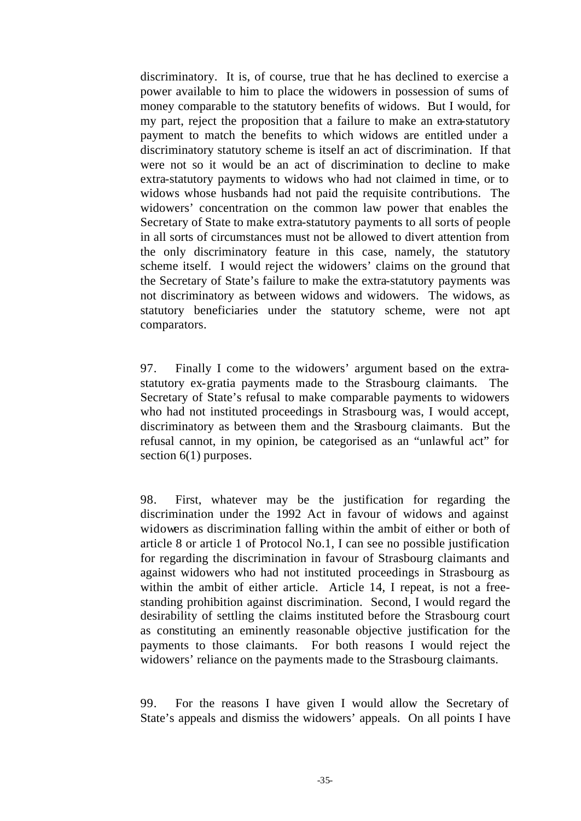discriminatory. It is, of course, true that he has declined to exercise a power available to him to place the widowers in possession of sums of money comparable to the statutory benefits of widows. But I would, for my part, reject the proposition that a failure to make an extra-statutory payment to match the benefits to which widows are entitled under a discriminatory statutory scheme is itself an act of discrimination. If that were not so it would be an act of discrimination to decline to make extra-statutory payments to widows who had not claimed in time, or to widows whose husbands had not paid the requisite contributions. The widowers' concentration on the common law power that enables the Secretary of State to make extra-statutory payments to all sorts of people in all sorts of circumstances must not be allowed to divert attention from the only discriminatory feature in this case, namely, the statutory scheme itself. I would reject the widowers' claims on the ground that the Secretary of State's failure to make the extra-statutory payments was not discriminatory as between widows and widowers. The widows, as statutory beneficiaries under the statutory scheme, were not apt comparators.

97. Finally I come to the widowers' argument based on the extrastatutory ex-gratia payments made to the Strasbourg claimants. The Secretary of State's refusal to make comparable payments to widowers who had not instituted proceedings in Strasbourg was, I would accept, discriminatory as between them and the Strasbourg claimants. But the refusal cannot, in my opinion, be categorised as an "unlawful act" for section 6(1) purposes.

98. First, whatever may be the justification for regarding the discrimination under the 1992 Act in favour of widows and against widowers as discrimination falling within the ambit of either or both of article 8 or article 1 of Protocol No.1, I can see no possible justification for regarding the discrimination in favour of Strasbourg claimants and against widowers who had not instituted proceedings in Strasbourg as within the ambit of either article. Article 14, I repeat, is not a freestanding prohibition against discrimination. Second, I would regard the desirability of settling the claims instituted before the Strasbourg court as constituting an eminently reasonable objective justification for the payments to those claimants. For both reasons I would reject the widowers' reliance on the payments made to the Strasbourg claimants.

99. For the reasons I have given I would allow the Secretary of State's appeals and dismiss the widowers' appeals. On all points I have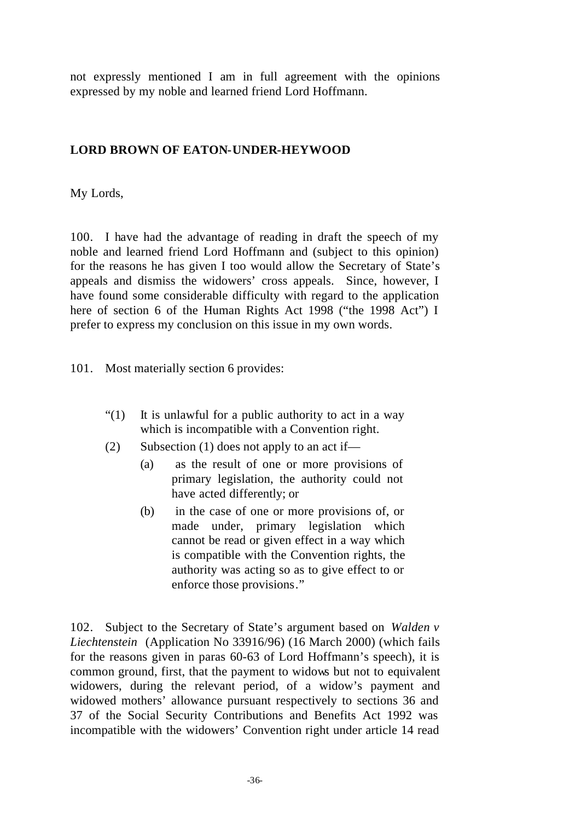not expressly mentioned I am in full agreement with the opinions expressed by my noble and learned friend Lord Hoffmann.

#### **LORD BROWN OF EATON-UNDER-HEYWOOD**

My Lords,

100. I have had the advantage of reading in draft the speech of my noble and learned friend Lord Hoffmann and (subject to this opinion) for the reasons he has given I too would allow the Secretary of State's appeals and dismiss the widowers' cross appeals. Since, however, I have found some considerable difficulty with regard to the application here of section 6 of the Human Rights Act 1998 ("the 1998 Act") I prefer to express my conclusion on this issue in my own words.

101. Most materially section 6 provides:

- "(1) It is unlawful for a public authority to act in a way which is incompatible with a Convention right.
- (2) Subsection (1) does not apply to an act if—
	- (a) as the result of one or more provisions of primary legislation, the authority could not have acted differently; or
	- (b) in the case of one or more provisions of, or made under, primary legislation which cannot be read or given effect in a way which is compatible with the Convention rights, the authority was acting so as to give effect to or enforce those provisions."

102. Subject to the Secretary of State's argument based on *Walden v Liechtenstein* (Application No 33916/96) (16 March 2000) (which fails for the reasons given in paras 60-63 of Lord Hoffmann's speech), it is common ground, first, that the payment to widows but not to equivalent widowers, during the relevant period, of a widow's payment and widowed mothers' allowance pursuant respectively to sections 36 and 37 of the Social Security Contributions and Benefits Act 1992 was incompatible with the widowers' Convention right under article 14 read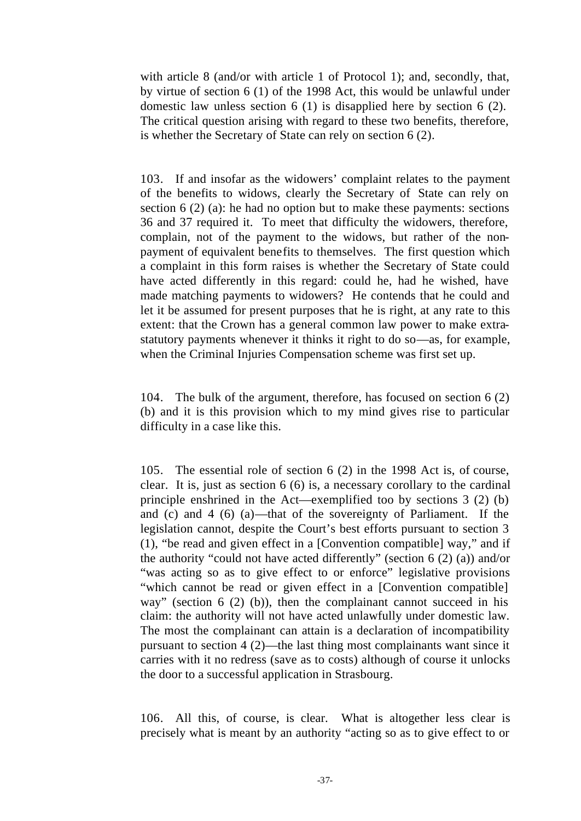with article 8 (and/or with article 1 of Protocol 1); and, secondly, that, by virtue of section 6 (1) of the 1998 Act, this would be unlawful under domestic law unless section 6 (1) is disapplied here by section 6 (2). The critical question arising with regard to these two benefits, therefore, is whether the Secretary of State can rely on section 6 (2).

103. If and insofar as the widowers' complaint relates to the payment of the benefits to widows, clearly the Secretary of State can rely on section 6 (2) (a): he had no option but to make these payments: sections 36 and 37 required it. To meet that difficulty the widowers, therefore, complain, not of the payment to the widows, but rather of the nonpayment of equivalent benefits to themselves. The first question which a complaint in this form raises is whether the Secretary of State could have acted differently in this regard: could he, had he wished, have made matching payments to widowers? He contends that he could and let it be assumed for present purposes that he is right, at any rate to this extent: that the Crown has a general common law power to make extrastatutory payments whenever it thinks it right to do so—as, for example, when the Criminal Injuries Compensation scheme was first set up.

104. The bulk of the argument, therefore, has focused on section 6 (2) (b) and it is this provision which to my mind gives rise to particular difficulty in a case like this.

105. The essential role of section 6 (2) in the 1998 Act is, of course, clear. It is, just as section 6 (6) is, a necessary corollary to the cardinal principle enshrined in the Act—exemplified too by sections 3 (2) (b) and (c) and 4 (6) (a)—that of the sovereignty of Parliament. If the legislation cannot, despite the Court's best efforts pursuant to section 3 (1), "be read and given effect in a [Convention compatible] way," and if the authority "could not have acted differently" (section  $6(2)(a)$ ) and/or "was acting so as to give effect to or enforce" legislative provisions "which cannot be read or given effect in a [Convention compatible] way" (section 6 (2) (b)), then the complainant cannot succeed in his claim: the authority will not have acted unlawfully under domestic law. The most the complainant can attain is a declaration of incompatibility pursuant to section 4 (2)—the last thing most complainants want since it carries with it no redress (save as to costs) although of course it unlocks the door to a successful application in Strasbourg.

106. All this, of course, is clear. What is altogether less clear is precisely what is meant by an authority "acting so as to give effect to or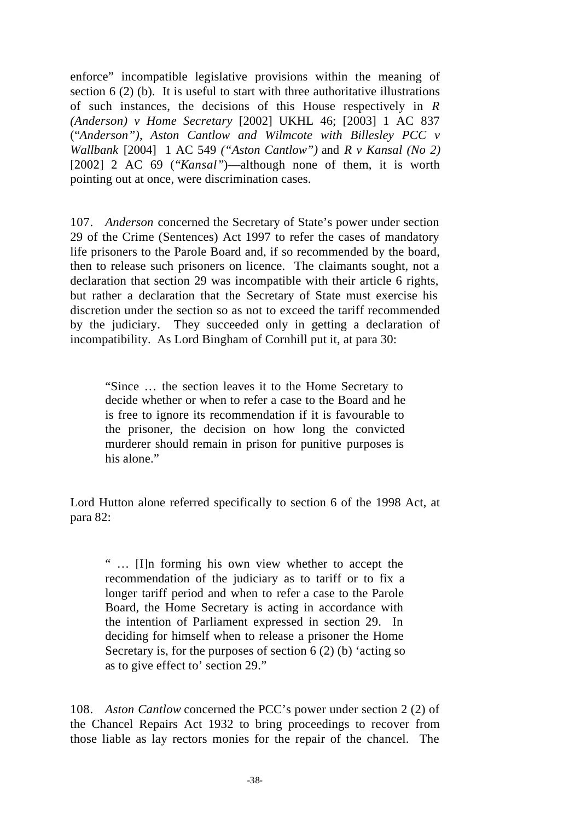enforce" incompatible legislative provisions within the meaning of section 6 (2) (b). It is useful to start with three authoritative illustrations of such instances, the decisions of this House respectively in *R (Anderson) v Home Secretary* [2002] UKHL 46; [2003] 1 AC 837 ("*Anderson")*, *Aston Cantlow and Wilmcote with Billesley PCC v Wallbank* [2004] 1 AC 549 *("Aston Cantlow")* and *R v Kansal (No 2)* [2002] 2 AC 69 ("*Kansal"*)—although none of them, it is worth pointing out at once, were discrimination cases.

107. *Anderson* concerned the Secretary of State's power under section 29 of the Crime (Sentences) Act 1997 to refer the cases of mandatory life prisoners to the Parole Board and, if so recommended by the board, then to release such prisoners on licence. The claimants sought, not a declaration that section 29 was incompatible with their article 6 rights, but rather a declaration that the Secretary of State must exercise his discretion under the section so as not to exceed the tariff recommended by the judiciary. They succeeded only in getting a declaration of incompatibility. As Lord Bingham of Cornhill put it, at para 30:

"Since … the section leaves it to the Home Secretary to decide whether or when to refer a case to the Board and he is free to ignore its recommendation if it is favourable to the prisoner, the decision on how long the convicted murderer should remain in prison for punitive purposes is his alone."

Lord Hutton alone referred specifically to section 6 of the 1998 Act, at para 82:

" … [I]n forming his own view whether to accept the recommendation of the judiciary as to tariff or to fix a longer tariff period and when to refer a case to the Parole Board, the Home Secretary is acting in accordance with the intention of Parliament expressed in section 29. In deciding for himself when to release a prisoner the Home Secretary is, for the purposes of section  $6(2)$  (b) 'acting so as to give effect to' section 29."

108. *Aston Cantlow* concerned the PCC's power under section 2 (2) of the Chancel Repairs Act 1932 to bring proceedings to recover from those liable as lay rectors monies for the repair of the chancel. The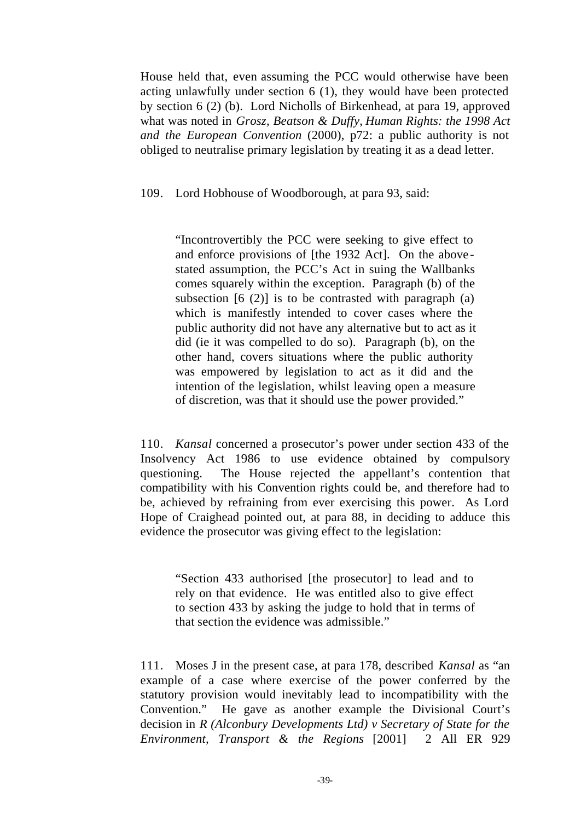House held that, even assuming the PCC would otherwise have been acting unlawfully under section 6 (1), they would have been protected by section 6 (2) (b). Lord Nicholls of Birkenhead, at para 19, approved what was noted in *Grosz, Beatson & Duffy*, *Human Rights: the 1998 Act and the European Convention* (2000), p72: a public authority is not obliged to neutralise primary legislation by treating it as a dead letter.

109. Lord Hobhouse of Woodborough, at para 93, said:

"Incontrovertibly the PCC were seeking to give effect to and enforce provisions of [the 1932 Act]. On the above stated assumption, the PCC's Act in suing the Wallbanks comes squarely within the exception. Paragraph (b) of the subsection  $[6 (2)]$  is to be contrasted with paragraph  $(a)$ which is manifestly intended to cover cases where the public authority did not have any alternative but to act as it did (ie it was compelled to do so). Paragraph (b), on the other hand, covers situations where the public authority was empowered by legislation to act as it did and the intention of the legislation, whilst leaving open a measure of discretion, was that it should use the power provided."

110. *Kansal* concerned a prosecutor's power under section 433 of the Insolvency Act 1986 to use evidence obtained by compulsory questioning. The House rejected the appellant's contention that compatibility with his Convention rights could be, and therefore had to be, achieved by refraining from ever exercising this power. As Lord Hope of Craighead pointed out, at para 88, in deciding to adduce this evidence the prosecutor was giving effect to the legislation:

"Section 433 authorised [the prosecutor] to lead and to rely on that evidence. He was entitled also to give effect to section 433 by asking the judge to hold that in terms of that section the evidence was admissible."

111. Moses J in the present case, at para 178, described *Kansal* as "an example of a case where exercise of the power conferred by the statutory provision would inevitably lead to incompatibility with the Convention." He gave as another example the Divisional Court's decision in *R (Alconbury Developments Ltd) v Secretary of State for the Environment, Transport & the Regions* [2001] 2 All ER 929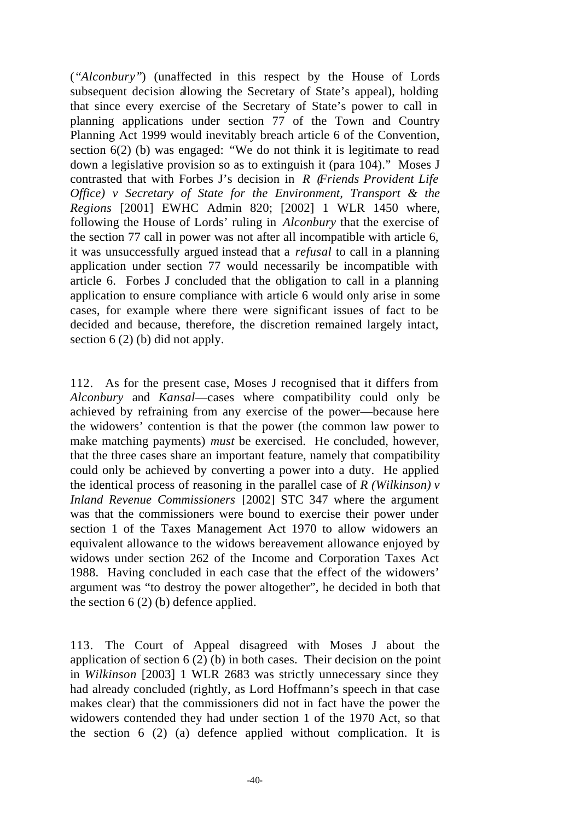(*"Alconbury"*) (unaffected in this respect by the House of Lords subsequent decision allowing the Secretary of State's appeal), holding that since every exercise of the Secretary of State's power to call in planning applications under section 77 of the Town and Country Planning Act 1999 would inevitably breach article 6 of the Convention, section 6(2) (b) was engaged: "We do not think it is legitimate to read down a legislative provision so as to extinguish it (para 104)." Moses J contrasted that with Forbes J's decision in *R (Friends Provident Life Office) v Secretary of State for the Environment, Transport & the Regions* [2001] EWHC Admin 820; [2002] 1 WLR 1450 where, following the House of Lords' ruling in *Alconbury* that the exercise of the section 77 call in power was not after all incompatible with article 6, it was unsuccessfully argued instead that a *refusal* to call in a planning application under section 77 would necessarily be incompatible with article 6. Forbes J concluded that the obligation to call in a planning application to ensure compliance with article 6 would only arise in some cases, for example where there were significant issues of fact to be decided and because, therefore, the discretion remained largely intact, section 6 (2) (b) did not apply.

112. As for the present case, Moses J recognised that it differs from *Alconbury* and *Kansal*—cases where compatibility could only be achieved by refraining from any exercise of the power—because here the widowers' contention is that the power (the common law power to make matching payments) *must* be exercised. He concluded, however, that the three cases share an important feature, namely that compatibility could only be achieved by converting a power into a duty. He applied the identical process of reasoning in the parallel case of *R (Wilkinson) v Inland Revenue Commissioners* [2002] STC 347 where the argument was that the commissioners were bound to exercise their power under section 1 of the Taxes Management Act 1970 to allow widowers an equivalent allowance to the widows bereavement allowance enjoyed by widows under section 262 of the Income and Corporation Taxes Act 1988. Having concluded in each case that the effect of the widowers' argument was "to destroy the power altogether", he decided in both that the section  $6(2)$  (b) defence applied.

113. The Court of Appeal disagreed with Moses J about the application of section 6 (2) (b) in both cases. Their decision on the point in *Wilkinson* [2003] 1 WLR 2683 was strictly unnecessary since they had already concluded (rightly, as Lord Hoffmann's speech in that case makes clear) that the commissioners did not in fact have the power the widowers contended they had under section 1 of the 1970 Act, so that the section 6 (2) (a) defence applied without complication. It is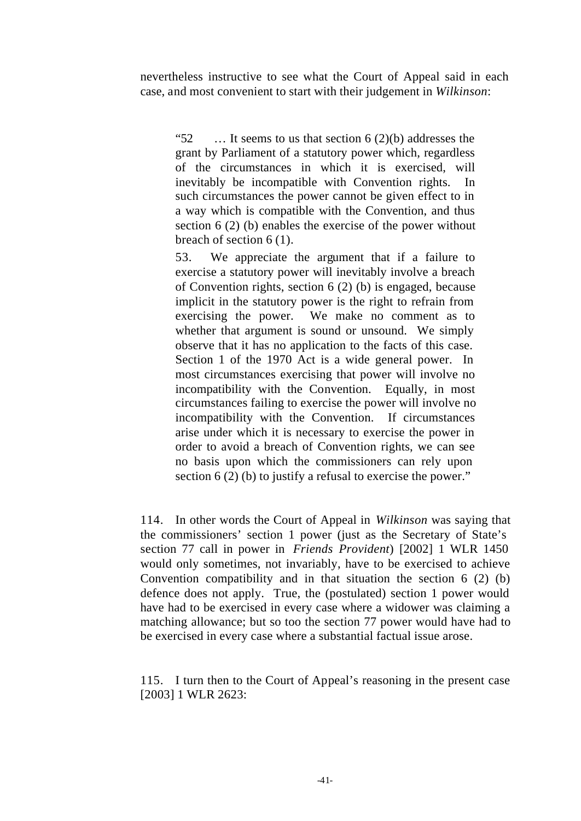nevertheless instructive to see what the Court of Appeal said in each case, and most convenient to start with their judgement in *Wilkinson*:

"52  $\ldots$  It seems to us that section 6 (2)(b) addresses the grant by Parliament of a statutory power which, regardless of the circumstances in which it is exercised, will inevitably be incompatible with Convention rights. In such circumstances the power cannot be given effect to in a way which is compatible with the Convention, and thus section 6 (2) (b) enables the exercise of the power without breach of section 6 (1).

53. We appreciate the argument that if a failure to exercise a statutory power will inevitably involve a breach of Convention rights, section 6 (2) (b) is engaged, because implicit in the statutory power is the right to refrain from exercising the power. We make no comment as to whether that argument is sound or unsound. We simply observe that it has no application to the facts of this case. Section 1 of the 1970 Act is a wide general power. In most circumstances exercising that power will involve no incompatibility with the Convention. Equally, in most circumstances failing to exercise the power will involve no incompatibility with the Convention. If circumstances arise under which it is necessary to exercise the power in order to avoid a breach of Convention rights, we can see no basis upon which the commissioners can rely upon section 6 (2) (b) to justify a refusal to exercise the power."

114. In other words the Court of Appeal in *Wilkinson* was saying that the commissioners' section 1 power (just as the Secretary of State's section 77 call in power in *Friends Provident*) [2002] 1 WLR 1450 would only sometimes, not invariably, have to be exercised to achieve Convention compatibility and in that situation the section 6 (2) (b) defence does not apply. True, the (postulated) section 1 power would have had to be exercised in every case where a widower was claiming a matching allowance; but so too the section 77 power would have had to be exercised in every case where a substantial factual issue arose.

115. I turn then to the Court of Appeal's reasoning in the present case [2003] 1 WLR 2623: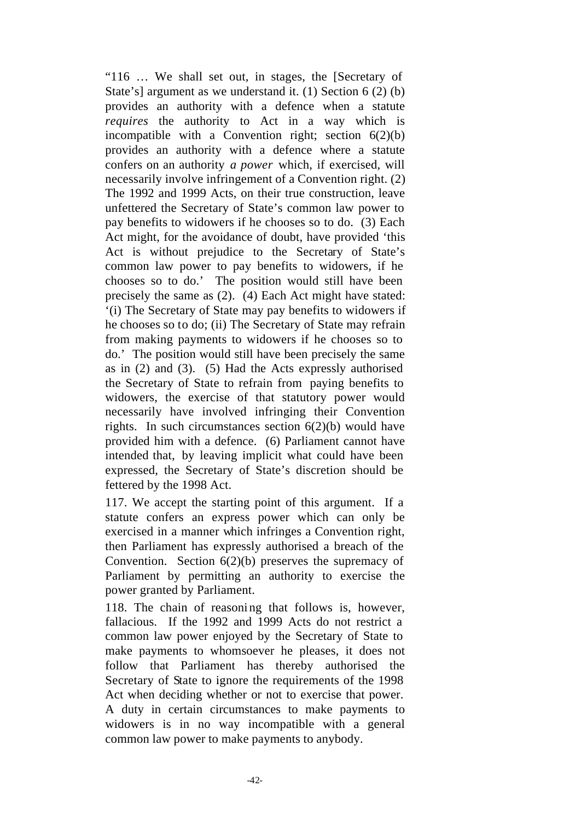"116 … We shall set out, in stages, the [Secretary of State's] argument as we understand it. (1) Section 6 (2) (b) provides an authority with a defence when a statute *requires* the authority to Act in a way which is incompatible with a Convention right; section  $6(2)(b)$ provides an authority with a defence where a statute confers on an authority *a power* which, if exercised, will necessarily involve infringement of a Convention right. (2) The 1992 and 1999 Acts, on their true construction, leave unfettered the Secretary of State's common law power to pay benefits to widowers if he chooses so to do. (3) Each Act might, for the avoidance of doubt, have provided 'this Act is without prejudice to the Secretary of State's common law power to pay benefits to widowers, if he chooses so to do.' The position would still have been precisely the same as (2). (4) Each Act might have stated: '(i) The Secretary of State may pay benefits to widowers if he chooses so to do; (ii) The Secretary of State may refrain from making payments to widowers if he chooses so to do.' The position would still have been precisely the same as in (2) and (3). (5) Had the Acts expressly authorised the Secretary of State to refrain from paying benefits to widowers, the exercise of that statutory power would necessarily have involved infringing their Convention rights. In such circumstances section  $6(2)(b)$  would have provided him with a defence. (6) Parliament cannot have intended that, by leaving implicit what could have been expressed, the Secretary of State's discretion should be fettered by the 1998 Act.

117. We accept the starting point of this argument. If a statute confers an express power which can only be exercised in a manner which infringes a Convention right, then Parliament has expressly authorised a breach of the Convention. Section 6(2)(b) preserves the supremacy of Parliament by permitting an authority to exercise the power granted by Parliament.

118. The chain of reasoning that follows is, however, fallacious. If the 1992 and 1999 Acts do not restrict a common law power enjoyed by the Secretary of State to make payments to whomsoever he pleases, it does not follow that Parliament has thereby authorised the Secretary of State to ignore the requirements of the 1998 Act when deciding whether or not to exercise that power. A duty in certain circumstances to make payments to widowers is in no way incompatible with a general common law power to make payments to anybody.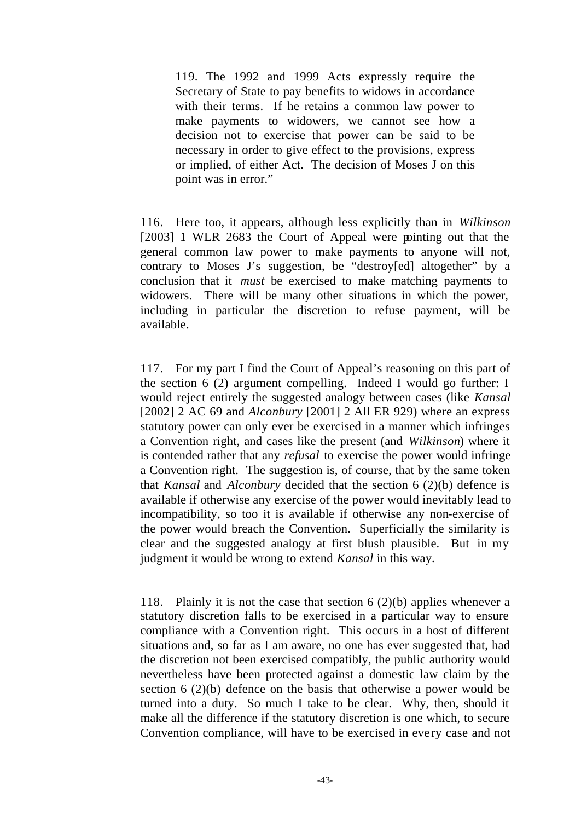119. The 1992 and 1999 Acts expressly require the Secretary of State to pay benefits to widows in accordance with their terms. If he retains a common law power to make payments to widowers, we cannot see how a decision not to exercise that power can be said to be necessary in order to give effect to the provisions, express or implied, of either Act. The decision of Moses J on this point was in error."

116. Here too, it appears, although less explicitly than in *Wilkinson* [2003] 1 WLR 2683 the Court of Appeal were pointing out that the general common law power to make payments to anyone will not, contrary to Moses J's suggestion, be "destroy[ed] altogether" by a conclusion that it *must* be exercised to make matching payments to widowers. There will be many other situations in which the power, including in particular the discretion to refuse payment, will be available.

117. For my part I find the Court of Appeal's reasoning on this part of the section 6 (2) argument compelling. Indeed I would go further: I would reject entirely the suggested analogy between cases (like *Kansal* [2002] 2 AC 69 and *Alconbury* [2001] 2 All ER 929) where an express statutory power can only ever be exercised in a manner which infringes a Convention right, and cases like the present (and *Wilkinson*) where it is contended rather that any *refusal* to exercise the power would infringe a Convention right. The suggestion is, of course, that by the same token that *Kansal* and *Alconbury* decided that the section 6 (2)(b) defence is available if otherwise any exercise of the power would inevitably lead to incompatibility, so too it is available if otherwise any non-exercise of the power would breach the Convention. Superficially the similarity is clear and the suggested analogy at first blush plausible. But in my judgment it would be wrong to extend *Kansal* in this way.

118. Plainly it is not the case that section 6 (2)(b) applies whenever a statutory discretion falls to be exercised in a particular way to ensure compliance with a Convention right. This occurs in a host of different situations and, so far as I am aware, no one has ever suggested that, had the discretion not been exercised compatibly, the public authority would nevertheless have been protected against a domestic law claim by the section 6 (2)(b) defence on the basis that otherwise a power would be turned into a duty. So much I take to be clear. Why, then, should it make all the difference if the statutory discretion is one which, to secure Convention compliance, will have to be exercised in every case and not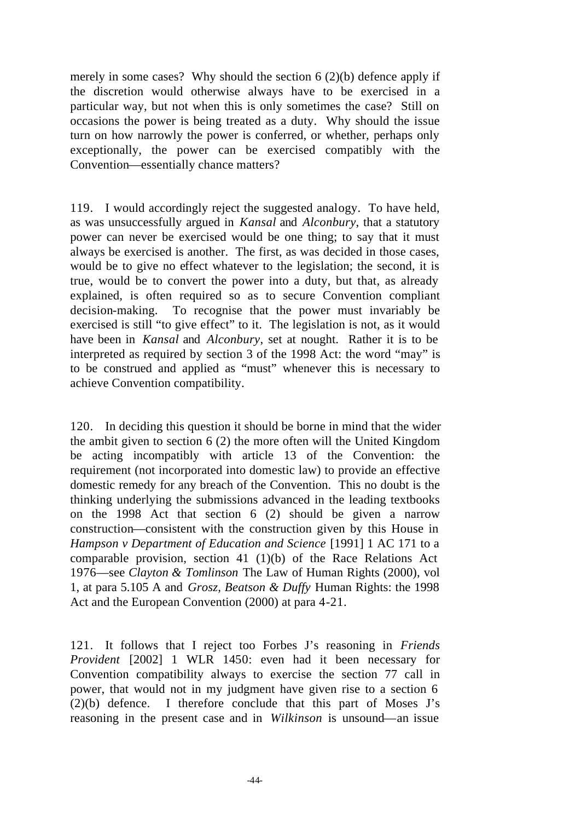merely in some cases? Why should the section  $6(2)(b)$  defence apply if the discretion would otherwise always have to be exercised in a particular way, but not when this is only sometimes the case? Still on occasions the power is being treated as a duty. Why should the issue turn on how narrowly the power is conferred, or whether, perhaps only exceptionally, the power can be exercised compatibly with the Convention—essentially chance matters?

119. I would accordingly reject the suggested analogy. To have held, as was unsuccessfully argued in *Kansal* and *Alconbury*, that a statutory power can never be exercised would be one thing; to say that it must always be exercised is another. The first, as was decided in those cases, would be to give no effect whatever to the legislation; the second, it is true, would be to convert the power into a duty, but that, as already explained, is often required so as to secure Convention compliant decision-making. To recognise that the power must invariably be exercised is still "to give effect" to it. The legislation is not, as it would have been in *Kansal* and *Alconbury*, set at nought. Rather it is to be interpreted as required by section 3 of the 1998 Act: the word "may" is to be construed and applied as "must" whenever this is necessary to achieve Convention compatibility.

120. In deciding this question it should be borne in mind that the wider the ambit given to section 6 (2) the more often will the United Kingdom be acting incompatibly with article 13 of the Convention: the requirement (not incorporated into domestic law) to provide an effective domestic remedy for any breach of the Convention. This no doubt is the thinking underlying the submissions advanced in the leading textbooks on the 1998 Act that section 6 (2) should be given a narrow construction—consistent with the construction given by this House in *Hampson v Department of Education and Science* [1991] 1 AC 171 to a comparable provision, section 41 (1)(b) of the Race Relations Act 1976—see *Clayton & Tomlinson* The Law of Human Rights (2000), vol 1, at para 5.105 A and *Grosz, Beatson & Duffy* Human Rights: the 1998 Act and the European Convention (2000) at para 4-21.

121. It follows that I reject too Forbes J's reasoning in *Friends Provident* [2002] 1 WLR 1450: even had it been necessary for Convention compatibility always to exercise the section 77 call in power, that would not in my judgment have given rise to a section 6 (2)(b) defence. I therefore conclude that this part of Moses J's reasoning in the present case and in *Wilkinson* is unsound—an issue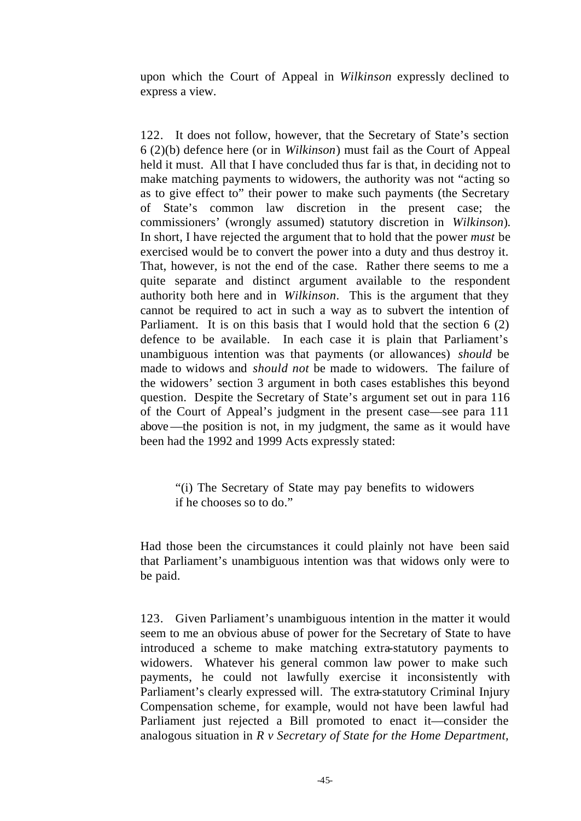upon which the Court of Appeal in *Wilkinson* expressly declined to express a view.

122. It does not follow, however, that the Secretary of State's section 6 (2)(b) defence here (or in *Wilkinson*) must fail as the Court of Appeal held it must. All that I have concluded thus far is that, in deciding not to make matching payments to widowers, the authority was not "acting so as to give effect to" their power to make such payments (the Secretary of State's common law discretion in the present case; the commissioners' (wrongly assumed) statutory discretion in *Wilkinson*). In short, I have rejected the argument that to hold that the power *must* be exercised would be to convert the power into a duty and thus destroy it. That, however, is not the end of the case. Rather there seems to me a quite separate and distinct argument available to the respondent authority both here and in *Wilkinson*. This is the argument that they cannot be required to act in such a way as to subvert the intention of Parliament. It is on this basis that I would hold that the section 6 (2) defence to be available. In each case it is plain that Parliament's unambiguous intention was that payments (or allowances) *should* be made to widows and *should not* be made to widowers. The failure of the widowers' section 3 argument in both cases establishes this beyond question. Despite the Secretary of State's argument set out in para 116 of the Court of Appeal's judgment in the present case—see para 111 above—the position is not, in my judgment, the same as it would have been had the 1992 and 1999 Acts expressly stated:

"(i) The Secretary of State may pay benefits to widowers if he chooses so to do."

Had those been the circumstances it could plainly not have been said that Parliament's unambiguous intention was that widows only were to be paid.

123. Given Parliament's unambiguous intention in the matter it would seem to me an obvious abuse of power for the Secretary of State to have introduced a scheme to make matching extra-statutory payments to widowers. Whatever his general common law power to make such payments, he could not lawfully exercise it inconsistently with Parliament's clearly expressed will. The extra-statutory Criminal Injury Compensation scheme, for example, would not have been lawful had Parliament just rejected a Bill promoted to enact it—consider the analogous situation in *R v Secretary of State for the Home Department,*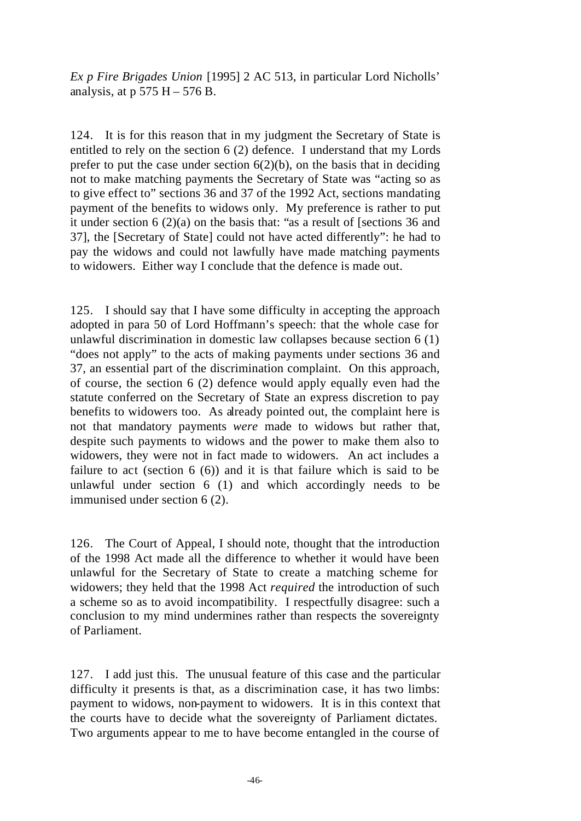*Ex p Fire Brigades Union* [1995] 2 AC 513, in particular Lord Nicholls' analysis, at  $p 575 H - 576 B$ .

124. It is for this reason that in my judgment the Secretary of State is entitled to rely on the section 6 (2) defence. I understand that my Lords prefer to put the case under section  $6(2)(b)$ , on the basis that in deciding not to make matching payments the Secretary of State was "acting so as to give effect to" sections 36 and 37 of the 1992 Act, sections mandating payment of the benefits to widows only. My preference is rather to put it under section 6 (2)(a) on the basis that: "as a result of [sections 36 and 37], the [Secretary of State] could not have acted differently": he had to pay the widows and could not lawfully have made matching payments to widowers. Either way I conclude that the defence is made out.

125. I should say that I have some difficulty in accepting the approach adopted in para 50 of Lord Hoffmann's speech: that the whole case for unlawful discrimination in domestic law collapses because section 6 (1) "does not apply" to the acts of making payments under sections 36 and 37, an essential part of the discrimination complaint. On this approach, of course, the section 6 (2) defence would apply equally even had the statute conferred on the Secretary of State an express discretion to pay benefits to widowers too. As already pointed out, the complaint here is not that mandatory payments *were* made to widows but rather that, despite such payments to widows and the power to make them also to widowers, they were not in fact made to widowers. An act includes a failure to act (section  $6(6)$ ) and it is that failure which is said to be unlawful under section 6 (1) and which accordingly needs to be immunised under section 6 (2).

126. The Court of Appeal, I should note, thought that the introduction of the 1998 Act made all the difference to whether it would have been unlawful for the Secretary of State to create a matching scheme for widowers; they held that the 1998 Act *required* the introduction of such a scheme so as to avoid incompatibility. I respectfully disagree: such a conclusion to my mind undermines rather than respects the sovereignty of Parliament.

127. I add just this. The unusual feature of this case and the particular difficulty it presents is that, as a discrimination case, it has two limbs: payment to widows, non-payment to widowers. It is in this context that the courts have to decide what the sovereignty of Parliament dictates. Two arguments appear to me to have become entangled in the course of